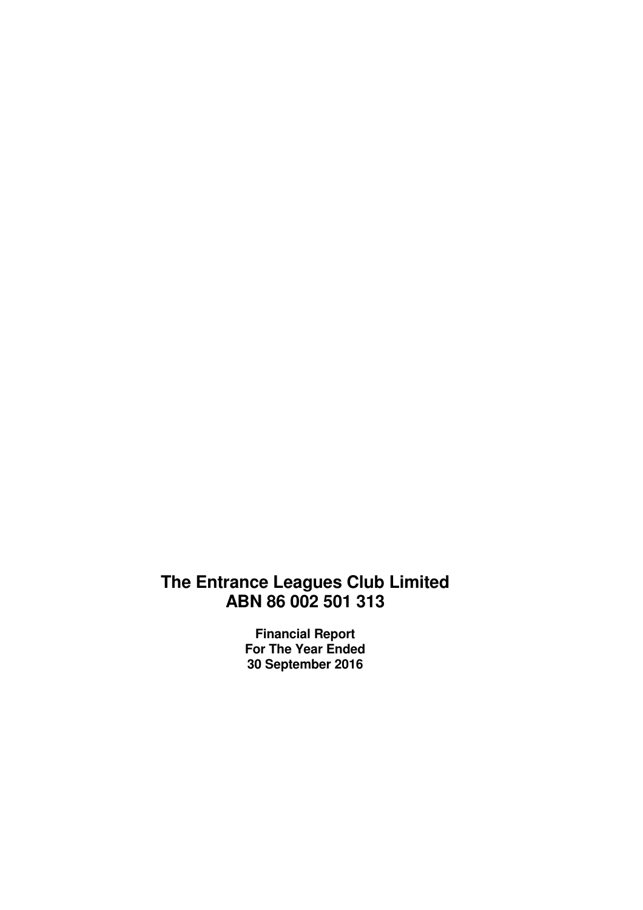**Financial Report For The Year Ended 30 September 2016**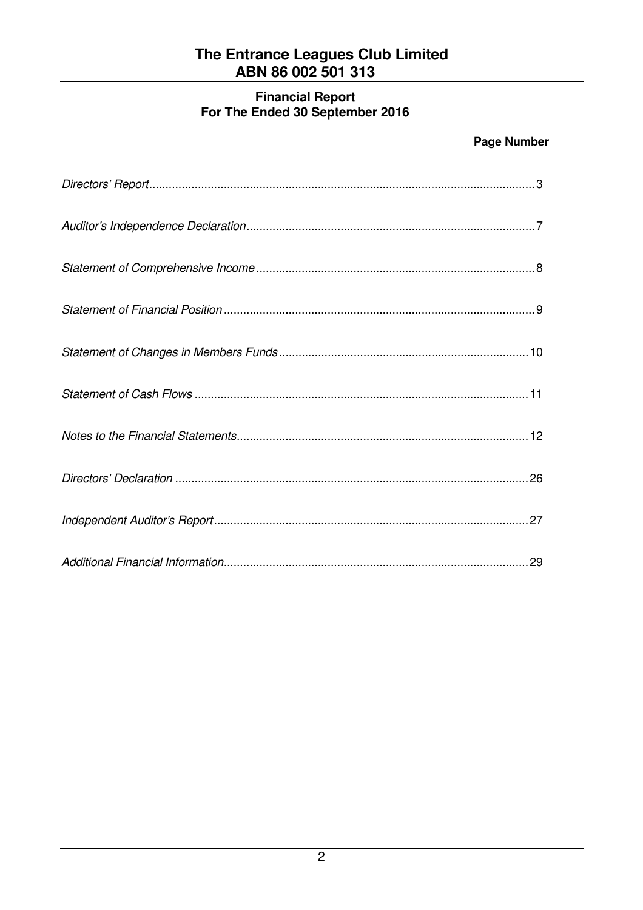## Financial Report<br>For The Ended 30 September 2016

## **Page Number**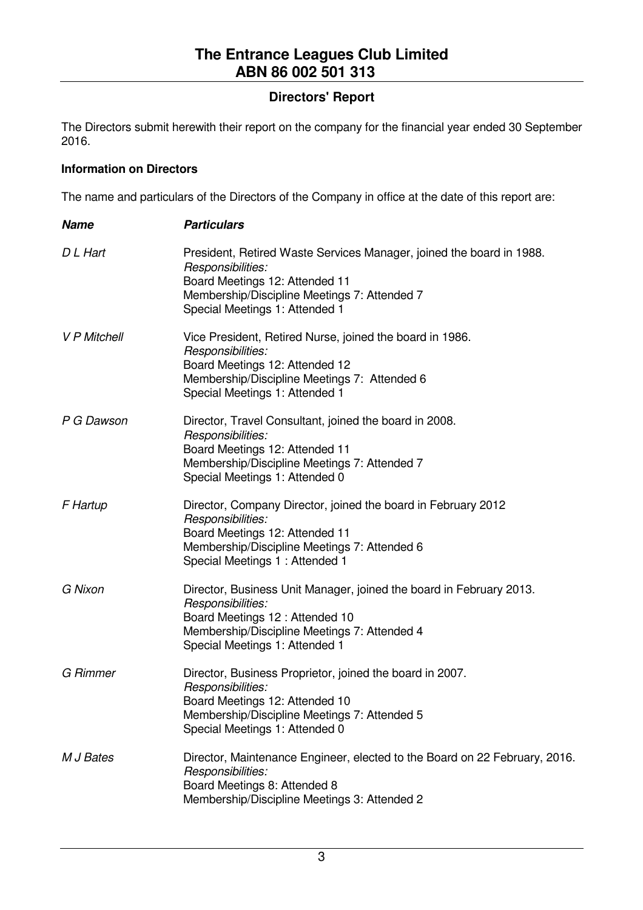The Directors submit herewith their report on the company for the financial year ended 30 September 2016.

#### **Information on Directors**

The name and particulars of the Directors of the Company in office at the date of this report are:

| <b>Name</b>         | <b>Particulars</b>                                                                                                                                                                                            |
|---------------------|---------------------------------------------------------------------------------------------------------------------------------------------------------------------------------------------------------------|
| D L Hart            | President, Retired Waste Services Manager, joined the board in 1988.<br>Responsibilities:<br>Board Meetings 12: Attended 11<br>Membership/Discipline Meetings 7: Attended 7<br>Special Meetings 1: Attended 1 |
| <b>V P Mitchell</b> | Vice President, Retired Nurse, joined the board in 1986.<br>Responsibilities:<br>Board Meetings 12: Attended 12<br>Membership/Discipline Meetings 7: Attended 6<br>Special Meetings 1: Attended 1             |
| P G Dawson          | Director, Travel Consultant, joined the board in 2008.<br>Responsibilities:<br>Board Meetings 12: Attended 11<br>Membership/Discipline Meetings 7: Attended 7<br>Special Meetings 1: Attended 0               |
| F Hartup            | Director, Company Director, joined the board in February 2012<br>Responsibilities:<br>Board Meetings 12: Attended 11<br>Membership/Discipline Meetings 7: Attended 6<br>Special Meetings 1: Attended 1        |
| G Nixon             | Director, Business Unit Manager, joined the board in February 2013.<br>Responsibilities:<br>Board Meetings 12 : Attended 10<br>Membership/Discipline Meetings 7: Attended 4<br>Special Meetings 1: Attended 1 |
| <b>G</b> Rimmer     | Director, Business Proprietor, joined the board in 2007.<br>Responsibilities:<br>Board Meetings 12: Attended 10<br>Membership/Discipline Meetings 7: Attended 5<br>Special Meetings 1: Attended 0             |
| M J Bates           | Director, Maintenance Engineer, elected to the Board on 22 February, 2016.<br>Responsibilities:<br>Board Meetings 8: Attended 8<br>Membership/Discipline Meetings 3: Attended 2                               |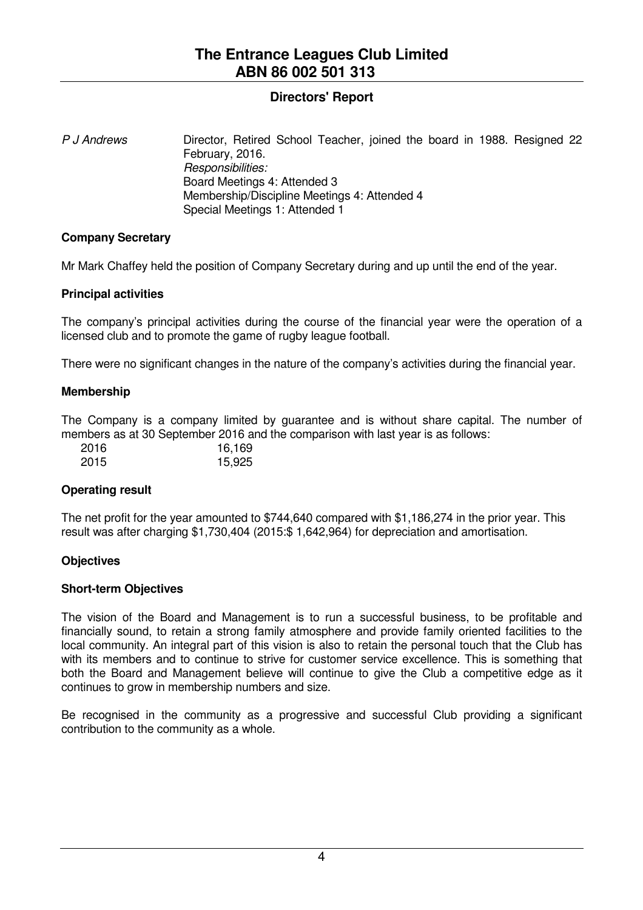#### *P J Andrews* Director, Retired School Teacher, joined the board in 1988. Resigned 22 February, 2016.  *Responsibilities:*  Board Meetings 4: Attended 3 Membership/Discipline Meetings 4: Attended 4 Special Meetings 1: Attended 1

#### **Company Secretary**

Mr Mark Chaffey held the position of Company Secretary during and up until the end of the year.

#### **Principal activities**

The company's principal activities during the course of the financial year were the operation of a licensed club and to promote the game of rugby league football.

There were no significant changes in the nature of the company's activities during the financial year.

#### **Membership**

The Company is a company limited by guarantee and is without share capital. The number of members as at 30 September 2016 and the comparison with last year is as follows:

| 2016 | 16,169 |
|------|--------|
| 2015 | 15,925 |

#### **Operating result**

The net profit for the year amounted to \$744,640 compared with \$1,186,274 in the prior year. This result was after charging \$1,730,404 (2015:\$ 1,642,964) for depreciation and amortisation.

#### **Objectives**

#### **Short-term Objectives**

The vision of the Board and Management is to run a successful business, to be profitable and financially sound, to retain a strong family atmosphere and provide family oriented facilities to the local community. An integral part of this vision is also to retain the personal touch that the Club has with its members and to continue to strive for customer service excellence. This is something that both the Board and Management believe will continue to give the Club a competitive edge as it continues to grow in membership numbers and size.

Be recognised in the community as a progressive and successful Club providing a significant contribution to the community as a whole.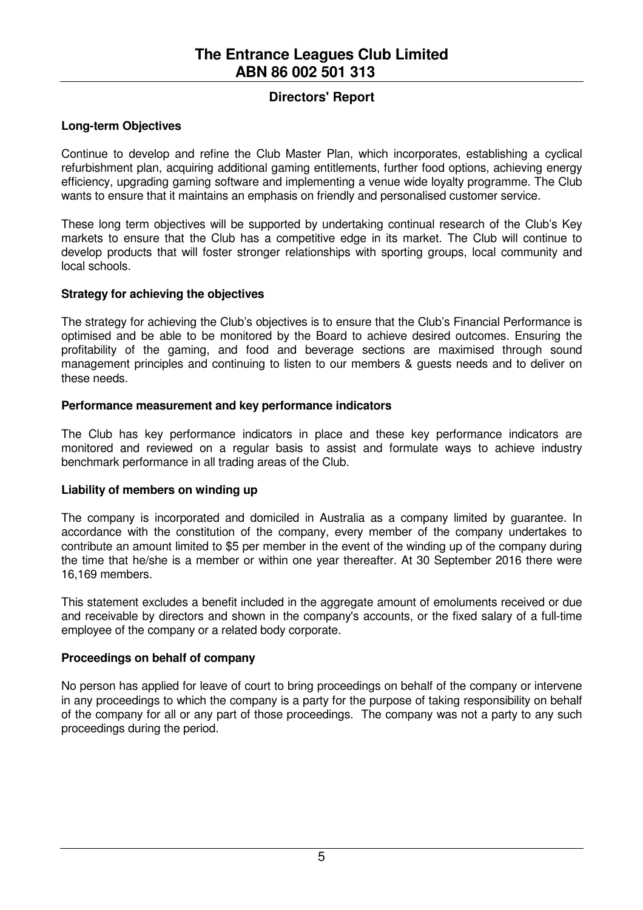#### **Long-term Objectives**

Continue to develop and refine the Club Master Plan, which incorporates, establishing a cyclical refurbishment plan, acquiring additional gaming entitlements, further food options, achieving energy efficiency, upgrading gaming software and implementing a venue wide loyalty programme. The Club wants to ensure that it maintains an emphasis on friendly and personalised customer service.

These long term objectives will be supported by undertaking continual research of the Club's Key markets to ensure that the Club has a competitive edge in its market. The Club will continue to develop products that will foster stronger relationships with sporting groups, local community and local schools.

#### **Strategy for achieving the objectives**

The strategy for achieving the Club's objectives is to ensure that the Club's Financial Performance is optimised and be able to be monitored by the Board to achieve desired outcomes. Ensuring the profitability of the gaming, and food and beverage sections are maximised through sound management principles and continuing to listen to our members & guests needs and to deliver on these needs.

#### **Performance measurement and key performance indicators**

The Club has key performance indicators in place and these key performance indicators are monitored and reviewed on a regular basis to assist and formulate ways to achieve industry benchmark performance in all trading areas of the Club.

#### **Liability of members on winding up**

The company is incorporated and domiciled in Australia as a company limited by guarantee. In accordance with the constitution of the company, every member of the company undertakes to contribute an amount limited to \$5 per member in the event of the winding up of the company during the time that he/she is a member or within one year thereafter. At 30 September 2016 there were 16,169 members.

This statement excludes a benefit included in the aggregate amount of emoluments received or due and receivable by directors and shown in the company's accounts, or the fixed salary of a full-time employee of the company or a related body corporate.

#### **Proceedings on behalf of company**

No person has applied for leave of court to bring proceedings on behalf of the company or intervene in any proceedings to which the company is a party for the purpose of taking responsibility on behalf of the company for all or any part of those proceedings. The company was not a party to any such proceedings during the period.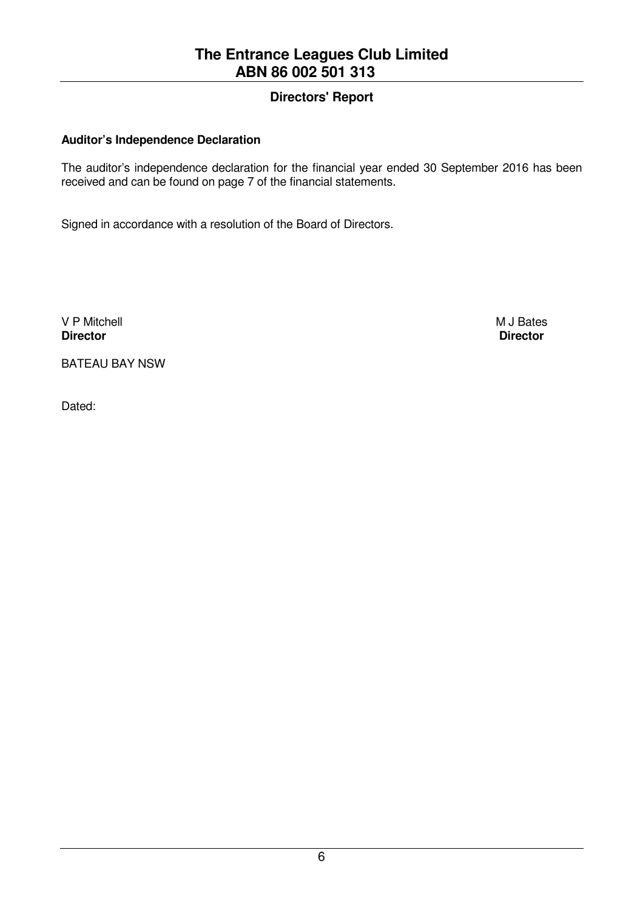#### **Auditor's Independence Declaration**

The auditor's independence declaration for the financial year ended 30 September 2016 has been received and can be found on page 7 of the financial statements.

Signed in accordance with a resolution of the Board of Directors.

V P Mitchell M J Bates **Director Director** 

BATEAU BAY NSW

Dated: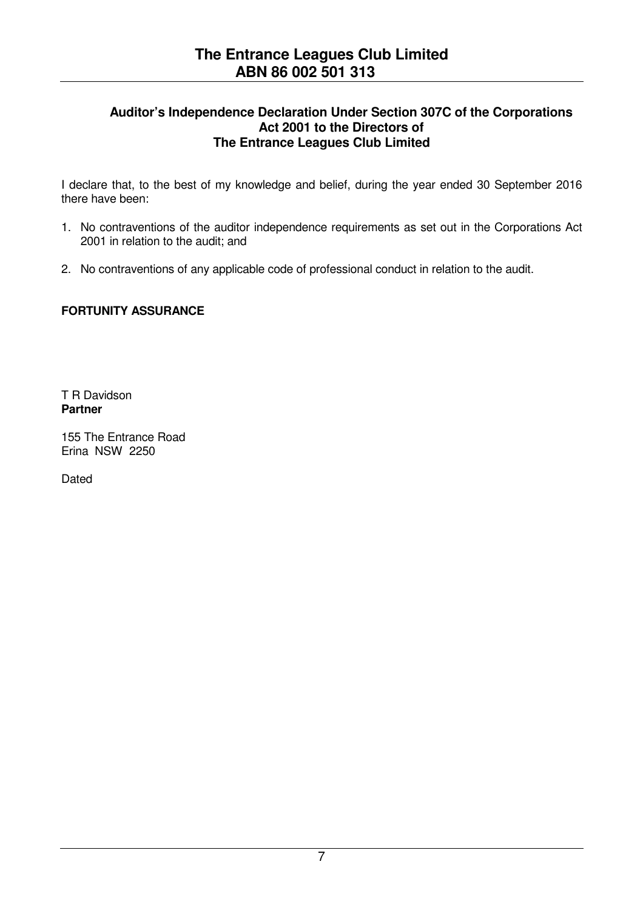#### **Auditor's Independence Declaration Under Section 307C of the Corporations Act 2001 to the Directors of The Entrance Leagues Club Limited**

I declare that, to the best of my knowledge and belief, during the year ended 30 September 2016 there have been:

- 1. No contraventions of the auditor independence requirements as set out in the Corporations Act 2001 in relation to the audit; and
- 2. No contraventions of any applicable code of professional conduct in relation to the audit.

#### **FORTUNITY ASSURANCE**

T R Davidson **Partner** 

155 The Entrance Road Erina NSW 2250

Dated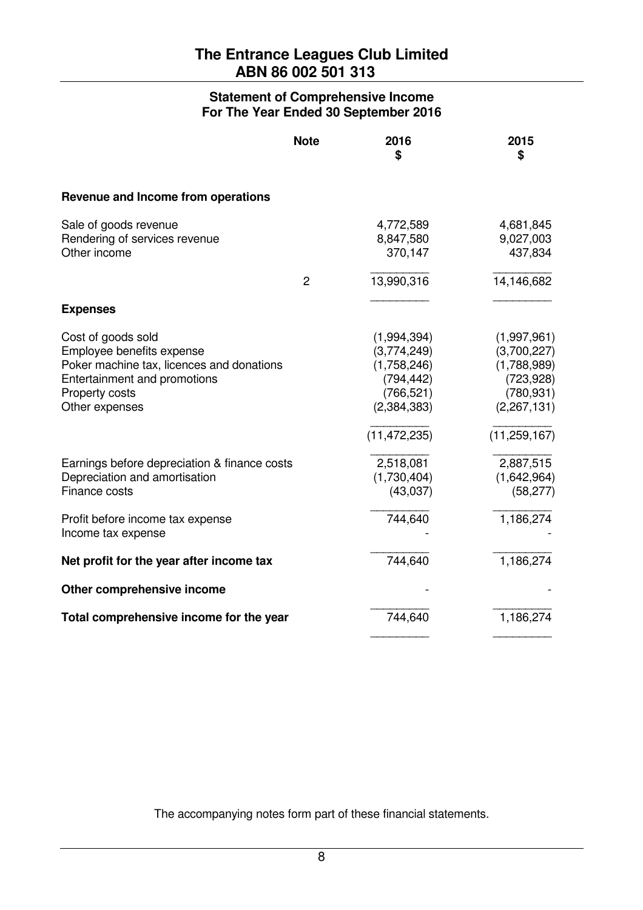#### **Statement of Comprehensive Income For The Year Ended 30 September 2016**

|                                                                                                                                                                  | <b>Note</b>    | 2016<br>\$                                                                                             | 2015<br>\$                                                                                             |
|------------------------------------------------------------------------------------------------------------------------------------------------------------------|----------------|--------------------------------------------------------------------------------------------------------|--------------------------------------------------------------------------------------------------------|
| Revenue and Income from operations                                                                                                                               |                |                                                                                                        |                                                                                                        |
| Sale of goods revenue<br>Rendering of services revenue<br>Other income                                                                                           |                | 4,772,589<br>8,847,580<br>370,147                                                                      | 4,681,845<br>9,027,003<br>437,834                                                                      |
|                                                                                                                                                                  | $\overline{2}$ | 13,990,316                                                                                             | 14,146,682                                                                                             |
| <b>Expenses</b>                                                                                                                                                  |                |                                                                                                        |                                                                                                        |
| Cost of goods sold<br>Employee benefits expense<br>Poker machine tax, licences and donations<br>Entertainment and promotions<br>Property costs<br>Other expenses |                | (1,994,394)<br>(3,774,249)<br>(1,758,246)<br>(794, 442)<br>(766, 521)<br>(2,384,383)<br>(11, 472, 235) | (1,997,961)<br>(3,700,227)<br>(1,788,989)<br>(723, 928)<br>(780, 931)<br>(2,267,131)<br>(11, 259, 167) |
| Earnings before depreciation & finance costs<br>Depreciation and amortisation<br>Finance costs                                                                   |                | 2,518,081<br>(1,730,404)<br>(43,037)                                                                   | 2,887,515<br>(1,642,964)<br>(58, 277)                                                                  |
| Profit before income tax expense<br>Income tax expense                                                                                                           |                | 744,640                                                                                                | 1,186,274                                                                                              |
| Net profit for the year after income tax                                                                                                                         |                | 744,640                                                                                                | 1,186,274                                                                                              |
| Other comprehensive income                                                                                                                                       |                |                                                                                                        |                                                                                                        |
| Total comprehensive income for the year                                                                                                                          |                | 744,640                                                                                                | 1,186,274                                                                                              |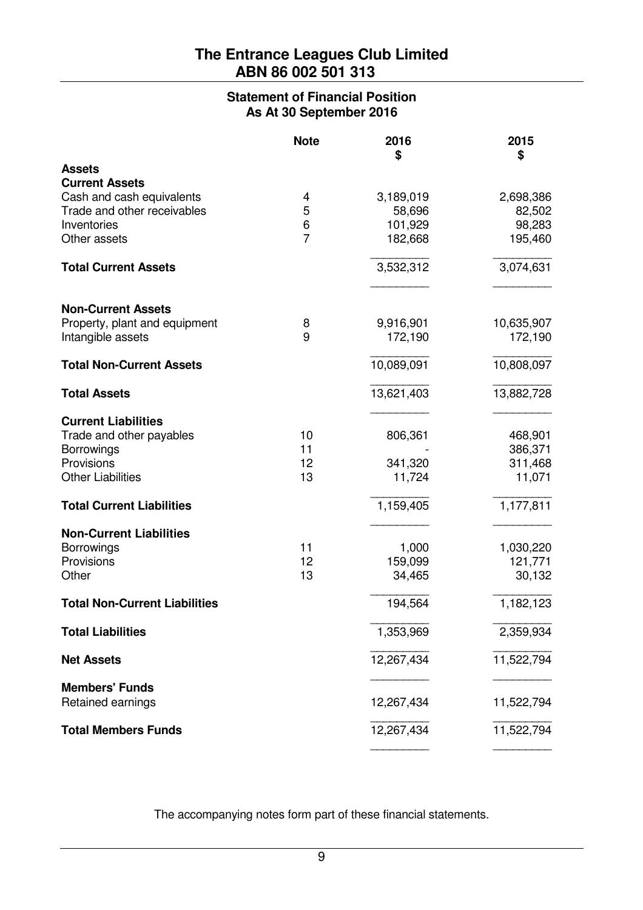#### **Statement of Financial Position As At 30 September 2016**

|                                      | <b>Note</b>    | 2016<br>\$       | 2015<br>\$           |
|--------------------------------------|----------------|------------------|----------------------|
| <b>Assets</b>                        |                |                  |                      |
| <b>Current Assets</b>                |                |                  |                      |
| Cash and cash equivalents            | 4              | 3,189,019        | 2,698,386            |
| Trade and other receivables          | 5              | 58,696           | 82,502               |
| Inventories                          | 6              | 101,929          | 98,283               |
| Other assets                         | $\overline{7}$ | 182,668          | 195,460              |
| <b>Total Current Assets</b>          |                | 3,532,312        | 3,074,631            |
|                                      |                |                  |                      |
| <b>Non-Current Assets</b>            |                |                  |                      |
| Property, plant and equipment        | 8<br>9         | 9,916,901        | 10,635,907           |
| Intangible assets                    |                | 172,190          | 172,190              |
| <b>Total Non-Current Assets</b>      |                | 10,089,091       | 10,808,097           |
| <b>Total Assets</b>                  |                | 13,621,403       | 13,882,728           |
| <b>Current Liabilities</b>           |                |                  |                      |
| Trade and other payables             | 10             | 806,361          | 468,901              |
| <b>Borrowings</b>                    | 11             |                  | 386,371              |
| Provisions                           | 12             | 341,320          | 311,468              |
| <b>Other Liabilities</b>             | 13             | 11,724           | 11,071               |
| <b>Total Current Liabilities</b>     |                | 1,159,405        | 1,177,811            |
|                                      |                |                  |                      |
| <b>Non-Current Liabilities</b>       | 11             |                  |                      |
| <b>Borrowings</b><br>Provisions      | 12             | 1,000<br>159,099 | 1,030,220<br>121,771 |
| Other                                | 13             | 34,465           | 30,132               |
|                                      |                |                  |                      |
| <b>Total Non-Current Liabilities</b> |                | 194,564          | 1,182,123            |
| <b>Total Liabilities</b>             |                | 1,353,969        | 2,359,934            |
| <b>Net Assets</b>                    |                | 12,267,434       | 11,522,794           |
| <b>Members' Funds</b>                |                |                  |                      |
| Retained earnings                    |                | 12,267,434       | 11,522,794           |
| <b>Total Members Funds</b>           |                | 12,267,434       | 11,522,794           |
|                                      |                |                  |                      |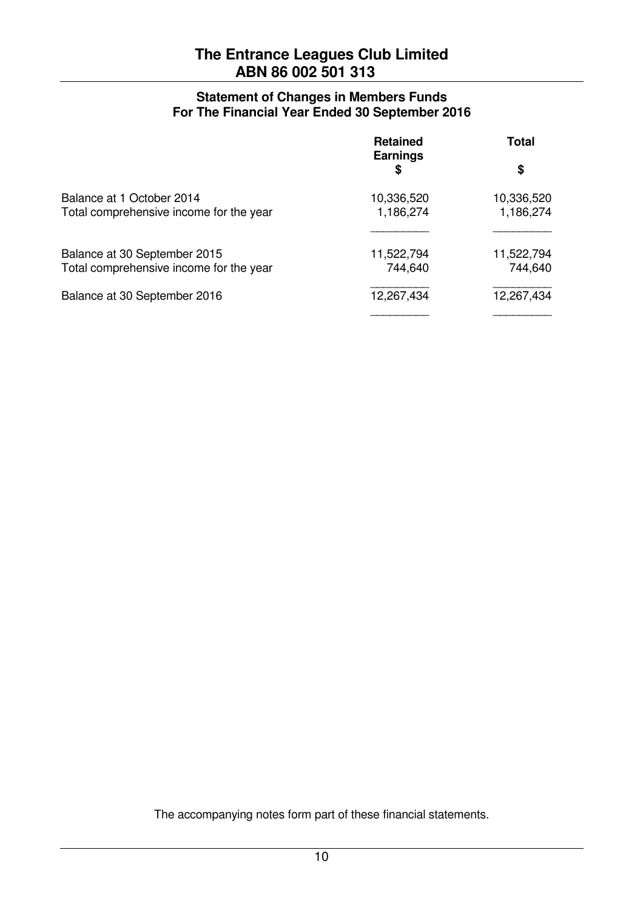#### **Statement of Changes in Members Funds For The Financial Year Ended 30 September 2016**

|                                         | <b>Retained</b><br><b>Earnings</b><br>\$ | Total      |  |
|-----------------------------------------|------------------------------------------|------------|--|
|                                         |                                          | \$         |  |
| Balance at 1 October 2014               | 10,336,520                               | 10,336,520 |  |
| Total comprehensive income for the year | 1,186,274                                | 1,186,274  |  |
|                                         |                                          |            |  |
| Balance at 30 September 2015            | 11,522,794                               | 11,522,794 |  |
| Total comprehensive income for the year | 744,640                                  | 744,640    |  |
| Balance at 30 September 2016            | 12,267,434                               | 12,267,434 |  |
|                                         |                                          |            |  |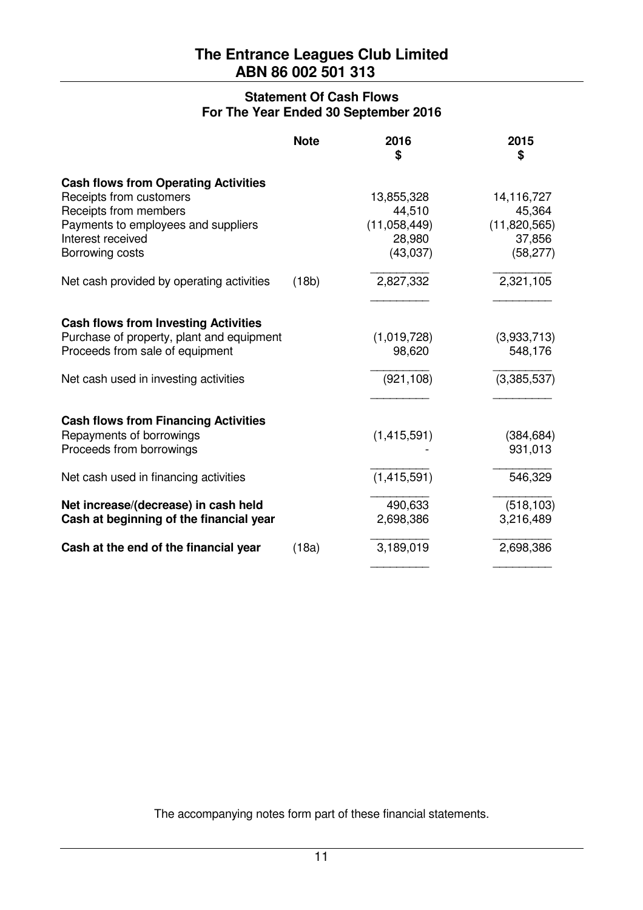#### **Statement Of Cash Flows For The Year Ended 30 September 2016**

|                                             | <b>Note</b> | 2016<br>\$   | 2015<br>\$   |
|---------------------------------------------|-------------|--------------|--------------|
| <b>Cash flows from Operating Activities</b> |             |              |              |
| Receipts from customers                     |             | 13,855,328   | 14,116,727   |
| Receipts from members                       |             | 44,510       | 45,364       |
| Payments to employees and suppliers         |             | (11,058,449) | (11,820,565) |
| Interest received                           |             | 28,980       | 37,856       |
| Borrowing costs                             |             | (43,037)     | (58, 277)    |
| Net cash provided by operating activities   | (18b)       | 2,827,332    | 2,321,105    |
|                                             |             |              |              |
| <b>Cash flows from Investing Activities</b> |             |              |              |
| Purchase of property, plant and equipment   |             | (1,019,728)  | (3,933,713)  |
| Proceeds from sale of equipment             |             | 98,620       | 548,176      |
| Net cash used in investing activities       |             | (921, 108)   | (3,385,537)  |
|                                             |             |              |              |
| <b>Cash flows from Financing Activities</b> |             |              |              |
| Repayments of borrowings                    |             | (1,415,591)  | (384, 684)   |
| Proceeds from borrowings                    |             |              | 931,013      |
| Net cash used in financing activities       |             | (1,415,591)  | 546,329      |
| Net increase/(decrease) in cash held        |             | 490,633      | (518, 103)   |
| Cash at beginning of the financial year     |             | 2,698,386    | 3,216,489    |
| Cash at the end of the financial year       | (18a)       | 3,189,019    | 2,698,386    |
|                                             |             |              |              |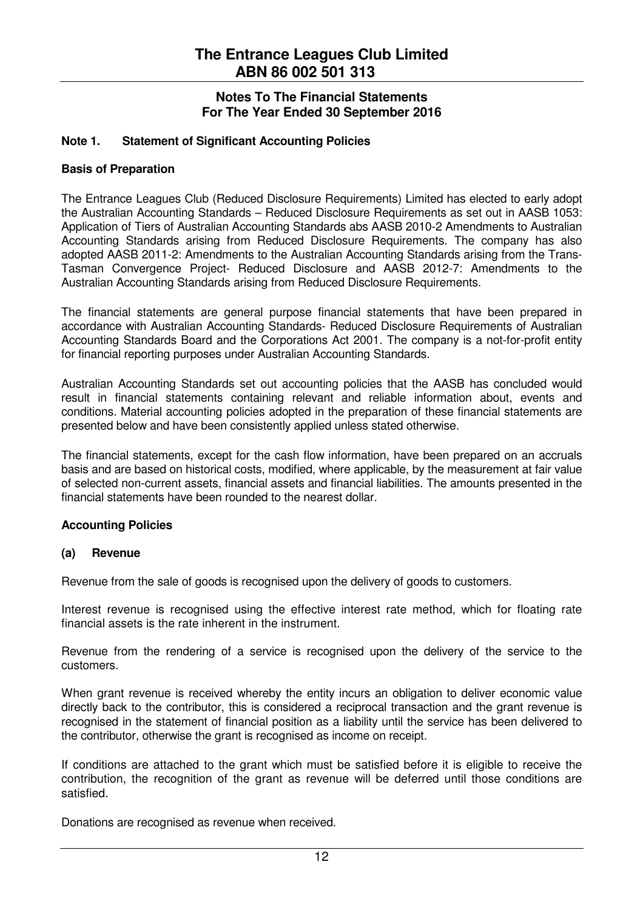#### **Note 1. Statement of Significant Accounting Policies**

#### **Basis of Preparation**

The Entrance Leagues Club (Reduced Disclosure Requirements) Limited has elected to early adopt the Australian Accounting Standards – Reduced Disclosure Requirements as set out in AASB 1053: Application of Tiers of Australian Accounting Standards abs AASB 2010-2 Amendments to Australian Accounting Standards arising from Reduced Disclosure Requirements. The company has also adopted AASB 2011-2: Amendments to the Australian Accounting Standards arising from the Trans-Tasman Convergence Project- Reduced Disclosure and AASB 2012-7: Amendments to the Australian Accounting Standards arising from Reduced Disclosure Requirements.

The financial statements are general purpose financial statements that have been prepared in accordance with Australian Accounting Standards- Reduced Disclosure Requirements of Australian Accounting Standards Board and the Corporations Act 2001. The company is a not-for-profit entity for financial reporting purposes under Australian Accounting Standards.

Australian Accounting Standards set out accounting policies that the AASB has concluded would result in financial statements containing relevant and reliable information about, events and conditions. Material accounting policies adopted in the preparation of these financial statements are presented below and have been consistently applied unless stated otherwise.

The financial statements, except for the cash flow information, have been prepared on an accruals basis and are based on historical costs, modified, where applicable, by the measurement at fair value of selected non-current assets, financial assets and financial liabilities. The amounts presented in the financial statements have been rounded to the nearest dollar.

#### **Accounting Policies**

#### **(a) Revenue**

Revenue from the sale of goods is recognised upon the delivery of goods to customers.

Interest revenue is recognised using the effective interest rate method, which for floating rate financial assets is the rate inherent in the instrument.

Revenue from the rendering of a service is recognised upon the delivery of the service to the customers.

When grant revenue is received whereby the entity incurs an obligation to deliver economic value directly back to the contributor, this is considered a reciprocal transaction and the grant revenue is recognised in the statement of financial position as a liability until the service has been delivered to the contributor, otherwise the grant is recognised as income on receipt.

If conditions are attached to the grant which must be satisfied before it is eligible to receive the contribution, the recognition of the grant as revenue will be deferred until those conditions are satisfied.

Donations are recognised as revenue when received.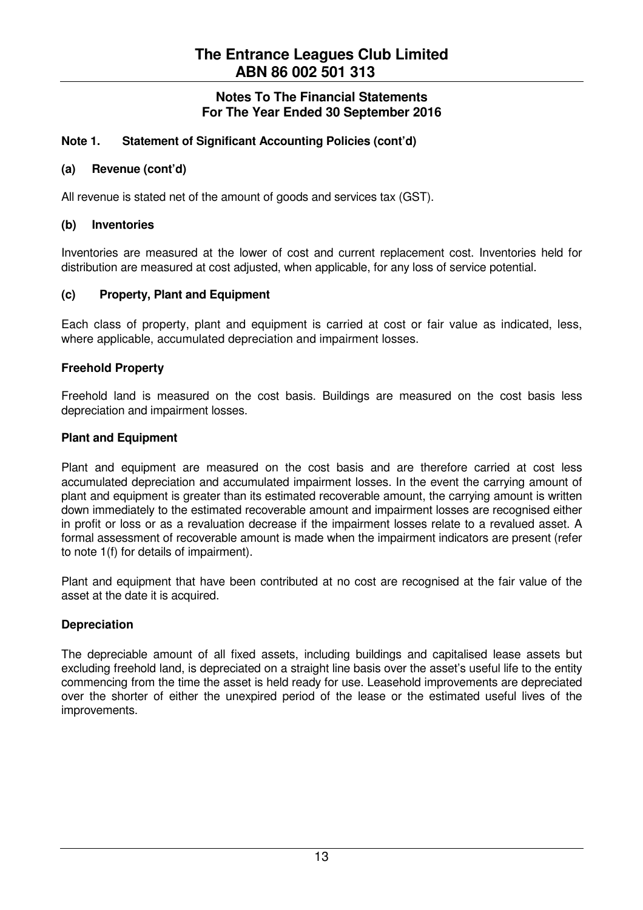#### **Note 1. Statement of Significant Accounting Policies (cont'd)**

#### **(a) Revenue (cont'd)**

All revenue is stated net of the amount of goods and services tax (GST).

#### **(b) Inventories**

Inventories are measured at the lower of cost and current replacement cost. Inventories held for distribution are measured at cost adjusted, when applicable, for any loss of service potential.

#### **(c) Property, Plant and Equipment**

Each class of property, plant and equipment is carried at cost or fair value as indicated, less, where applicable, accumulated depreciation and impairment losses.

#### **Freehold Property**

Freehold land is measured on the cost basis. Buildings are measured on the cost basis less depreciation and impairment losses.

#### **Plant and Equipment**

Plant and equipment are measured on the cost basis and are therefore carried at cost less accumulated depreciation and accumulated impairment losses. In the event the carrying amount of plant and equipment is greater than its estimated recoverable amount, the carrying amount is written down immediately to the estimated recoverable amount and impairment losses are recognised either in profit or loss or as a revaluation decrease if the impairment losses relate to a revalued asset. A formal assessment of recoverable amount is made when the impairment indicators are present (refer to note 1(f) for details of impairment).

Plant and equipment that have been contributed at no cost are recognised at the fair value of the asset at the date it is acquired.

#### **Depreciation**

The depreciable amount of all fixed assets, including buildings and capitalised lease assets but excluding freehold land, is depreciated on a straight line basis over the asset's useful life to the entity commencing from the time the asset is held ready for use. Leasehold improvements are depreciated over the shorter of either the unexpired period of the lease or the estimated useful lives of the improvements.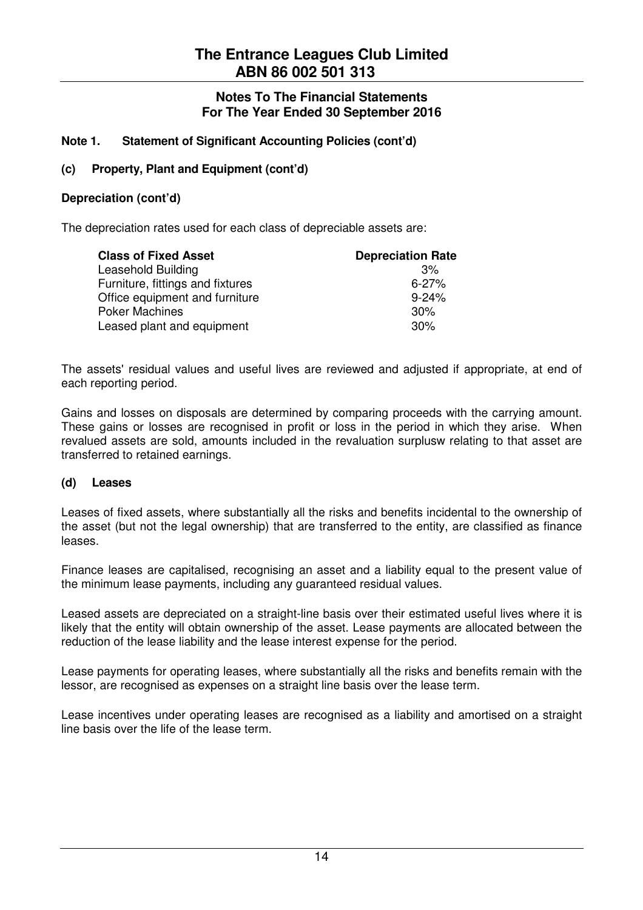#### **Note 1. Statement of Significant Accounting Policies (cont'd)**

#### **(c) Property, Plant and Equipment (cont'd)**

#### **Depreciation (cont'd)**

The depreciation rates used for each class of depreciable assets are:

| <b>Class of Fixed Asset</b>      | <b>Depreciation Rate</b> |
|----------------------------------|--------------------------|
| Leasehold Building               | 3%                       |
| Furniture, fittings and fixtures | $6 - 27%$                |
| Office equipment and furniture   | $9 - 24%$                |
| <b>Poker Machines</b>            | $30\%$                   |
| Leased plant and equipment       | 30%                      |

The assets' residual values and useful lives are reviewed and adjusted if appropriate, at end of each reporting period.

Gains and losses on disposals are determined by comparing proceeds with the carrying amount. These gains or losses are recognised in profit or loss in the period in which they arise. When revalued assets are sold, amounts included in the revaluation surplusw relating to that asset are transferred to retained earnings.

#### **(d) Leases**

Leases of fixed assets, where substantially all the risks and benefits incidental to the ownership of the asset (but not the legal ownership) that are transferred to the entity, are classified as finance leases.

Finance leases are capitalised, recognising an asset and a liability equal to the present value of the minimum lease payments, including any guaranteed residual values.

Leased assets are depreciated on a straight-line basis over their estimated useful lives where it is likely that the entity will obtain ownership of the asset. Lease payments are allocated between the reduction of the lease liability and the lease interest expense for the period.

Lease payments for operating leases, where substantially all the risks and benefits remain with the lessor, are recognised as expenses on a straight line basis over the lease term.

Lease incentives under operating leases are recognised as a liability and amortised on a straight line basis over the life of the lease term.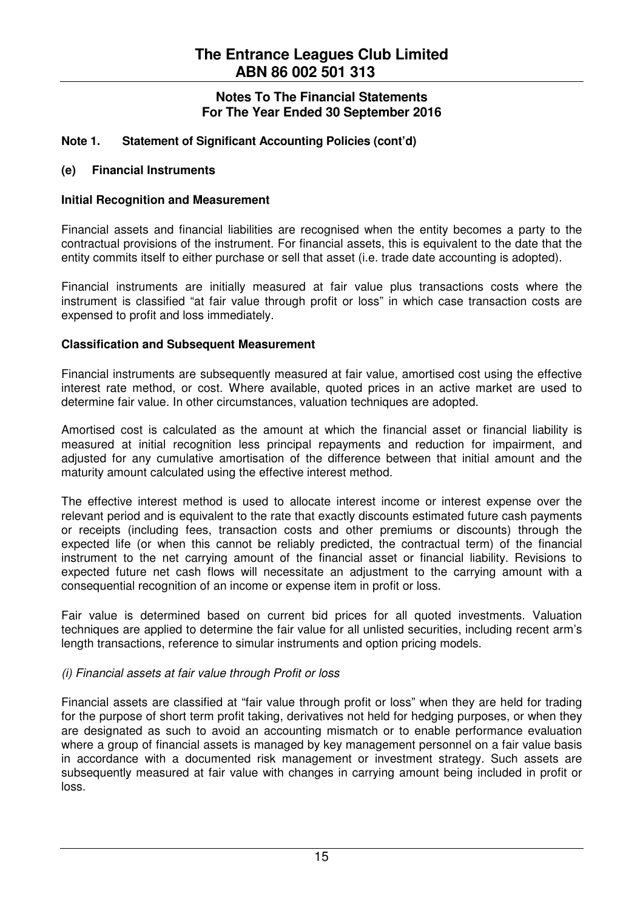#### **Note 1. Statement of Significant Accounting Policies (cont'd)**

#### **(e) Financial Instruments**

#### **Initial Recognition and Measurement**

Financial assets and financial liabilities are recognised when the entity becomes a party to the contractual provisions of the instrument. For financial assets, this is equivalent to the date that the entity commits itself to either purchase or sell that asset (i.e. trade date accounting is adopted).

Financial instruments are initially measured at fair value plus transactions costs where the instrument is classified "at fair value through profit or loss" in which case transaction costs are expensed to profit and loss immediately.

#### **Classification and Subsequent Measurement**

Financial instruments are subsequently measured at fair value, amortised cost using the effective interest rate method, or cost. Where available, quoted prices in an active market are used to determine fair value. In other circumstances, valuation techniques are adopted.

Amortised cost is calculated as the amount at which the financial asset or financial liability is measured at initial recognition less principal repayments and reduction for impairment, and adjusted for any cumulative amortisation of the difference between that initial amount and the maturity amount calculated using the effective interest method.

The effective interest method is used to allocate interest income or interest expense over the relevant period and is equivalent to the rate that exactly discounts estimated future cash payments or receipts (including fees, transaction costs and other premiums or discounts) through the expected life (or when this cannot be reliably predicted, the contractual term) of the financial instrument to the net carrying amount of the financial asset or financial liability. Revisions to expected future net cash flows will necessitate an adjustment to the carrying amount with a consequential recognition of an income or expense item in profit or loss.

Fair value is determined based on current bid prices for all quoted investments. Valuation techniques are applied to determine the fair value for all unlisted securities, including recent arm's length transactions, reference to simular instruments and option pricing models.

#### *(i) Financial assets at fair value through Profit or loss*

Financial assets are classified at "fair value through profit or loss" when they are held for trading for the purpose of short term profit taking, derivatives not held for hedging purposes, or when they are designated as such to avoid an accounting mismatch or to enable performance evaluation where a group of financial assets is managed by key management personnel on a fair value basis in accordance with a documented risk management or investment strategy. Such assets are subsequently measured at fair value with changes in carrying amount being included in profit or loss.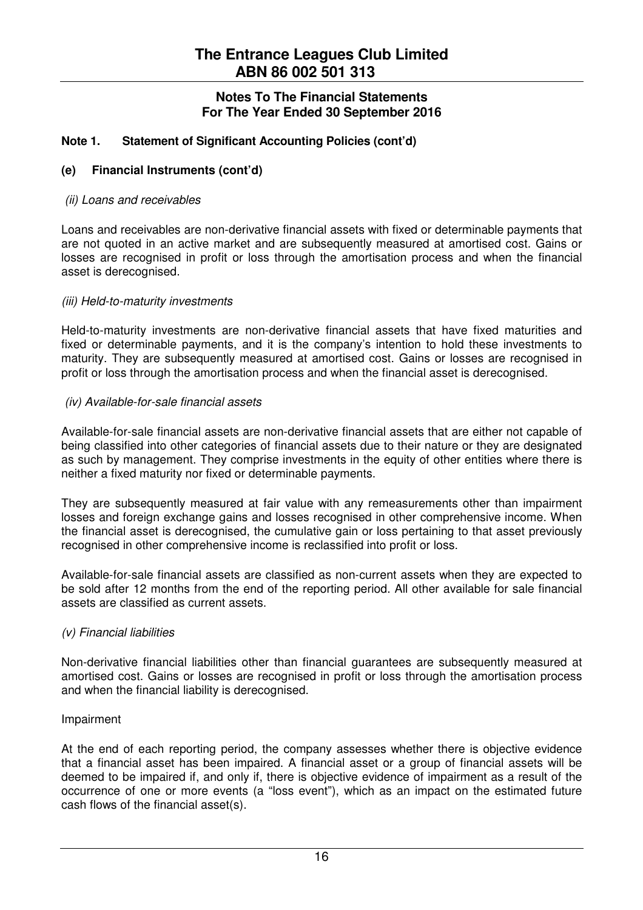#### **Note 1. Statement of Significant Accounting Policies (cont'd)**

#### **(e) Financial Instruments (cont'd)**

#### *(ii) Loans and receivables*

Loans and receivables are non-derivative financial assets with fixed or determinable payments that are not quoted in an active market and are subsequently measured at amortised cost. Gains or losses are recognised in profit or loss through the amortisation process and when the financial asset is derecognised.

#### *(iii) Held-to-maturity investments*

Held-to-maturity investments are non-derivative financial assets that have fixed maturities and fixed or determinable payments, and it is the company's intention to hold these investments to maturity. They are subsequently measured at amortised cost. Gains or losses are recognised in profit or loss through the amortisation process and when the financial asset is derecognised.

#### *(iv) Available-for-sale financial assets*

Available-for-sale financial assets are non-derivative financial assets that are either not capable of being classified into other categories of financial assets due to their nature or they are designated as such by management. They comprise investments in the equity of other entities where there is neither a fixed maturity nor fixed or determinable payments.

They are subsequently measured at fair value with any remeasurements other than impairment losses and foreign exchange gains and losses recognised in other comprehensive income. When the financial asset is derecognised, the cumulative gain or loss pertaining to that asset previously recognised in other comprehensive income is reclassified into profit or loss.

Available-for-sale financial assets are classified as non-current assets when they are expected to be sold after 12 months from the end of the reporting period. All other available for sale financial assets are classified as current assets.

#### *(v) Financial liabilities*

Non-derivative financial liabilities other than financial guarantees are subsequently measured at amortised cost. Gains or losses are recognised in profit or loss through the amortisation process and when the financial liability is derecognised.

#### Impairment

At the end of each reporting period, the company assesses whether there is objective evidence that a financial asset has been impaired. A financial asset or a group of financial assets will be deemed to be impaired if, and only if, there is objective evidence of impairment as a result of the occurrence of one or more events (a "loss event"), which as an impact on the estimated future cash flows of the financial asset(s).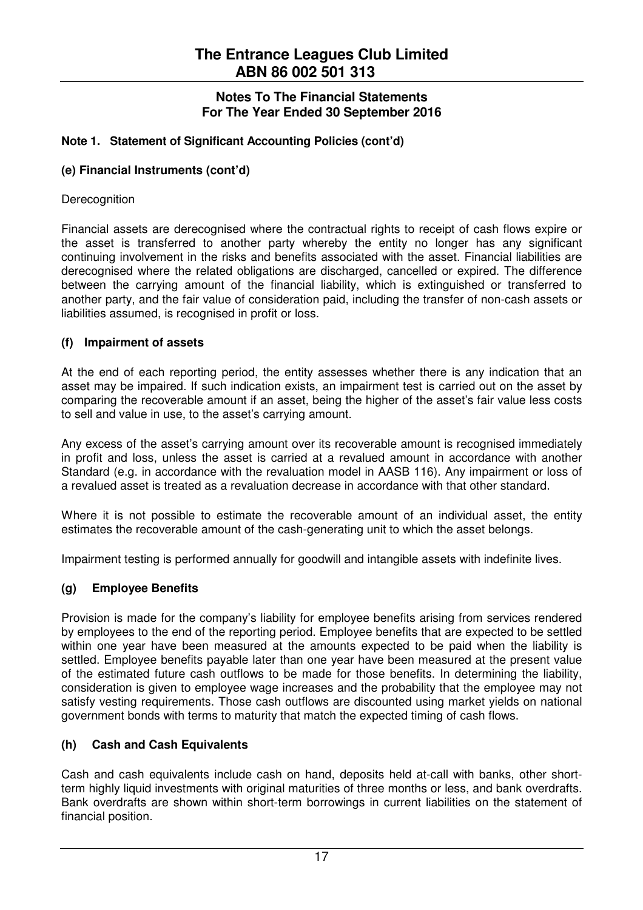#### **Note 1. Statement of Significant Accounting Policies (cont'd)**

#### **(e) Financial Instruments (cont'd)**

#### **Derecognition**

Financial assets are derecognised where the contractual rights to receipt of cash flows expire or the asset is transferred to another party whereby the entity no longer has any significant continuing involvement in the risks and benefits associated with the asset. Financial liabilities are derecognised where the related obligations are discharged, cancelled or expired. The difference between the carrying amount of the financial liability, which is extinguished or transferred to another party, and the fair value of consideration paid, including the transfer of non-cash assets or liabilities assumed, is recognised in profit or loss.

#### **(f) Impairment of assets**

At the end of each reporting period, the entity assesses whether there is any indication that an asset may be impaired. If such indication exists, an impairment test is carried out on the asset by comparing the recoverable amount if an asset, being the higher of the asset's fair value less costs to sell and value in use, to the asset's carrying amount.

Any excess of the asset's carrying amount over its recoverable amount is recognised immediately in profit and loss, unless the asset is carried at a revalued amount in accordance with another Standard (e.g. in accordance with the revaluation model in AASB 116). Any impairment or loss of a revalued asset is treated as a revaluation decrease in accordance with that other standard.

Where it is not possible to estimate the recoverable amount of an individual asset, the entity estimates the recoverable amount of the cash-generating unit to which the asset belongs.

Impairment testing is performed annually for goodwill and intangible assets with indefinite lives.

#### **(g) Employee Benefits**

Provision is made for the company's liability for employee benefits arising from services rendered by employees to the end of the reporting period. Employee benefits that are expected to be settled within one year have been measured at the amounts expected to be paid when the liability is settled. Employee benefits payable later than one year have been measured at the present value of the estimated future cash outflows to be made for those benefits. In determining the liability, consideration is given to employee wage increases and the probability that the employee may not satisfy vesting requirements. Those cash outflows are discounted using market yields on national government bonds with terms to maturity that match the expected timing of cash flows.

#### **(h) Cash and Cash Equivalents**

Cash and cash equivalents include cash on hand, deposits held at-call with banks, other shortterm highly liquid investments with original maturities of three months or less, and bank overdrafts. Bank overdrafts are shown within short-term borrowings in current liabilities on the statement of financial position.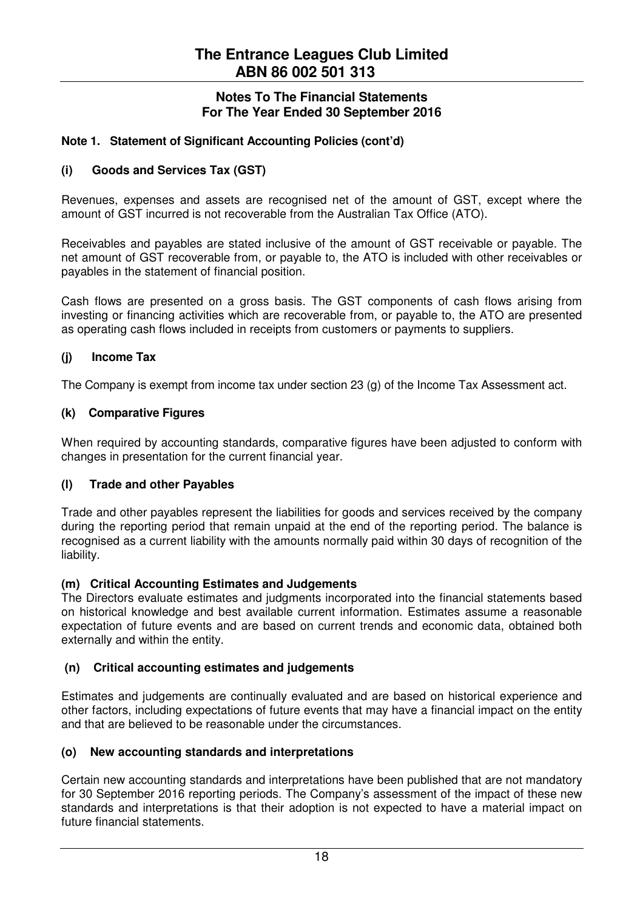#### **Note 1. Statement of Significant Accounting Policies (cont'd)**

#### **(i) Goods and Services Tax (GST)**

Revenues, expenses and assets are recognised net of the amount of GST, except where the amount of GST incurred is not recoverable from the Australian Tax Office (ATO).

Receivables and payables are stated inclusive of the amount of GST receivable or payable. The net amount of GST recoverable from, or payable to, the ATO is included with other receivables or payables in the statement of financial position.

Cash flows are presented on a gross basis. The GST components of cash flows arising from investing or financing activities which are recoverable from, or payable to, the ATO are presented as operating cash flows included in receipts from customers or payments to suppliers.

#### **(j) Income Tax**

The Company is exempt from income tax under section 23 (g) of the Income Tax Assessment act.

#### **(k) Comparative Figures**

When required by accounting standards, comparative figures have been adjusted to conform with changes in presentation for the current financial year.

#### **(l) Trade and other Payables**

Trade and other payables represent the liabilities for goods and services received by the company during the reporting period that remain unpaid at the end of the reporting period. The balance is recognised as a current liability with the amounts normally paid within 30 days of recognition of the liability.

#### **(m) Critical Accounting Estimates and Judgements**

The Directors evaluate estimates and judgments incorporated into the financial statements based on historical knowledge and best available current information. Estimates assume a reasonable expectation of future events and are based on current trends and economic data, obtained both externally and within the entity.

#### **(n) Critical accounting estimates and judgements**

Estimates and judgements are continually evaluated and are based on historical experience and other factors, including expectations of future events that may have a financial impact on the entity and that are believed to be reasonable under the circumstances.

#### **(o) New accounting standards and interpretations**

Certain new accounting standards and interpretations have been published that are not mandatory for 30 September 2016 reporting periods. The Company's assessment of the impact of these new standards and interpretations is that their adoption is not expected to have a material impact on future financial statements.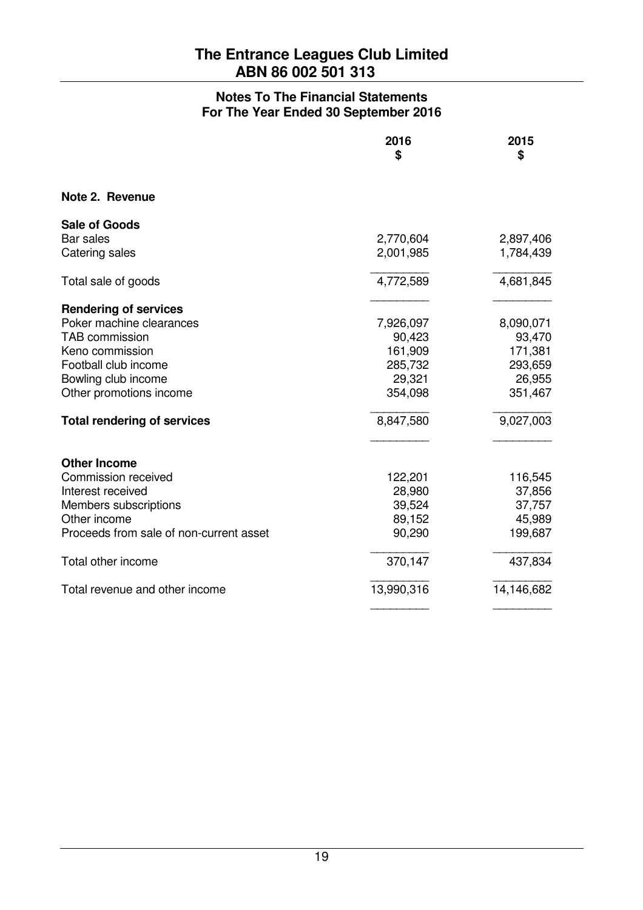|                                         | 2016<br>\$ | 2015<br>\$ |
|-----------------------------------------|------------|------------|
| Note 2. Revenue                         |            |            |
| <b>Sale of Goods</b>                    |            |            |
| <b>Bar sales</b>                        | 2,770,604  | 2,897,406  |
| Catering sales                          | 2,001,985  | 1,784,439  |
| Total sale of goods                     | 4,772,589  | 4,681,845  |
| <b>Rendering of services</b>            |            |            |
| Poker machine clearances                | 7,926,097  | 8,090,071  |
| <b>TAB</b> commission                   | 90,423     | 93,470     |
| Keno commission                         | 161,909    | 171,381    |
| Football club income                    | 285,732    | 293,659    |
| Bowling club income                     | 29,321     | 26,955     |
| Other promotions income                 | 354,098    | 351,467    |
| <b>Total rendering of services</b>      | 8,847,580  | 9,027,003  |
| <b>Other Income</b>                     |            |            |
| Commission received                     | 122,201    | 116,545    |
| Interest received                       | 28,980     | 37,856     |
| Members subscriptions                   | 39,524     | 37,757     |
| Other income                            | 89,152     | 45,989     |
| Proceeds from sale of non-current asset | 90,290     | 199,687    |
| Total other income                      | 370,147    | 437,834    |
| Total revenue and other income          | 13,990,316 | 14,146,682 |
|                                         |            |            |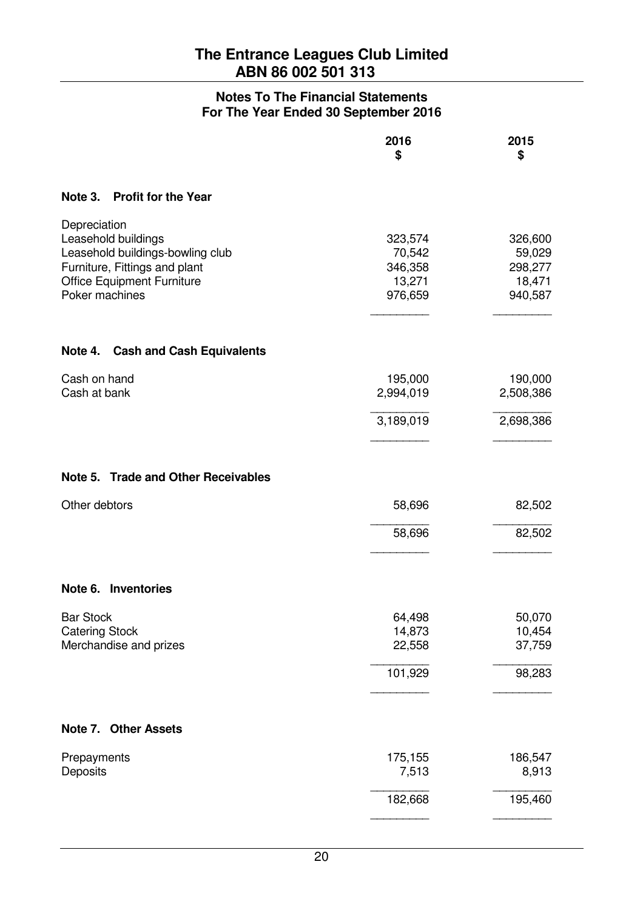|                                                                   | 2016<br>\$        | 2015<br>\$        |
|-------------------------------------------------------------------|-------------------|-------------------|
| Note 3. Profit for the Year                                       |                   |                   |
| Depreciation                                                      |                   |                   |
| Leasehold buildings                                               | 323,574           | 326,600           |
| Leasehold buildings-bowling club<br>Furniture, Fittings and plant | 70,542<br>346,358 | 59,029<br>298,277 |
| <b>Office Equipment Furniture</b>                                 | 13,271            | 18,471            |
| Poker machines                                                    | 976,659           | 940,587           |
| Note 4. Cash and Cash Equivalents                                 |                   |                   |
|                                                                   |                   |                   |
| Cash on hand                                                      | 195,000           | 190,000           |
| Cash at bank                                                      | 2,994,019         | 2,508,386         |
|                                                                   | 3,189,019         | 2,698,386         |
|                                                                   |                   |                   |
| Note 5. Trade and Other Receivables                               |                   |                   |
| Other debtors                                                     | 58,696            | 82,502            |
|                                                                   | 58,696            | 82,502            |
|                                                                   |                   |                   |
| Note 6. Inventories                                               |                   |                   |
| <b>Bar Stock</b>                                                  | 64,498            | 50,070            |
| <b>Catering Stock</b>                                             | 14,873            | 10,454            |
| Merchandise and prizes                                            | 22,558            | 37,759            |
|                                                                   | 101,929           | 98,283            |
|                                                                   |                   |                   |
| Note 7. Other Assets                                              |                   |                   |
| Prepayments                                                       | 175,155           | 186,547           |
| Deposits                                                          | 7,513             | 8,913             |
|                                                                   | 182,668           | 195,460           |
|                                                                   |                   |                   |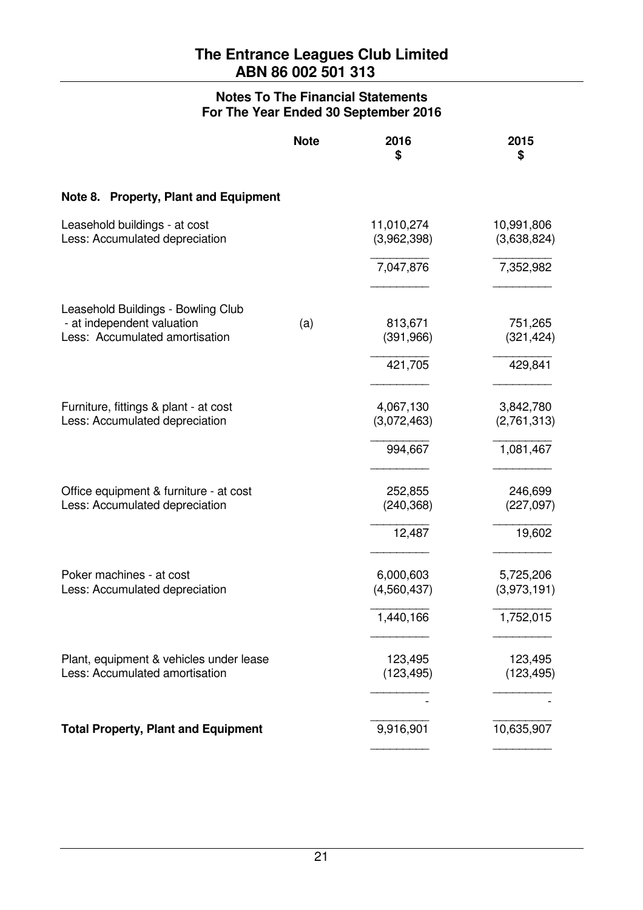|                                                                 | <b>Note</b> | 2016<br>\$                | 2015<br>\$                |
|-----------------------------------------------------------------|-------------|---------------------------|---------------------------|
| Note 8. Property, Plant and Equipment                           |             |                           |                           |
| Leasehold buildings - at cost<br>Less: Accumulated depreciation |             | 11,010,274<br>(3,962,398) | 10,991,806<br>(3,638,824) |
|                                                                 |             |                           |                           |
|                                                                 |             | 7,047,876                 | 7,352,982                 |
| Leasehold Buildings - Bowling Club                              |             |                           |                           |
| - at independent valuation<br>Less: Accumulated amortisation    | (a)         | 813,671<br>(391, 966)     | 751,265<br>(321, 424)     |
|                                                                 |             | 421,705                   | 429,841                   |
|                                                                 |             |                           |                           |
| Furniture, fittings & plant - at cost                           |             | 4,067,130                 | 3,842,780                 |
| Less: Accumulated depreciation                                  |             | (3,072,463)               | (2,761,313)               |
|                                                                 |             | 994,667                   | 1,081,467                 |
| Office equipment & furniture - at cost                          |             | 252,855                   | 246,699                   |
| Less: Accumulated depreciation                                  |             | (240, 368)                | (227,097)                 |
|                                                                 |             | 12,487                    | 19,602                    |
| Poker machines - at cost                                        |             | 6,000,603                 | 5,725,206                 |
| Less: Accumulated depreciation                                  |             | (4,560,437)               | (3,973,191)               |
|                                                                 |             | 1,440,166                 | 1,752,015                 |
| Plant, equipment & vehicles under lease                         |             | 123,495                   | 123,495                   |
| Less: Accumulated amortisation                                  |             | (123, 495)                | (123, 495)                |
|                                                                 |             |                           |                           |
| <b>Total Property, Plant and Equipment</b>                      |             | 9,916,901                 | 10,635,907                |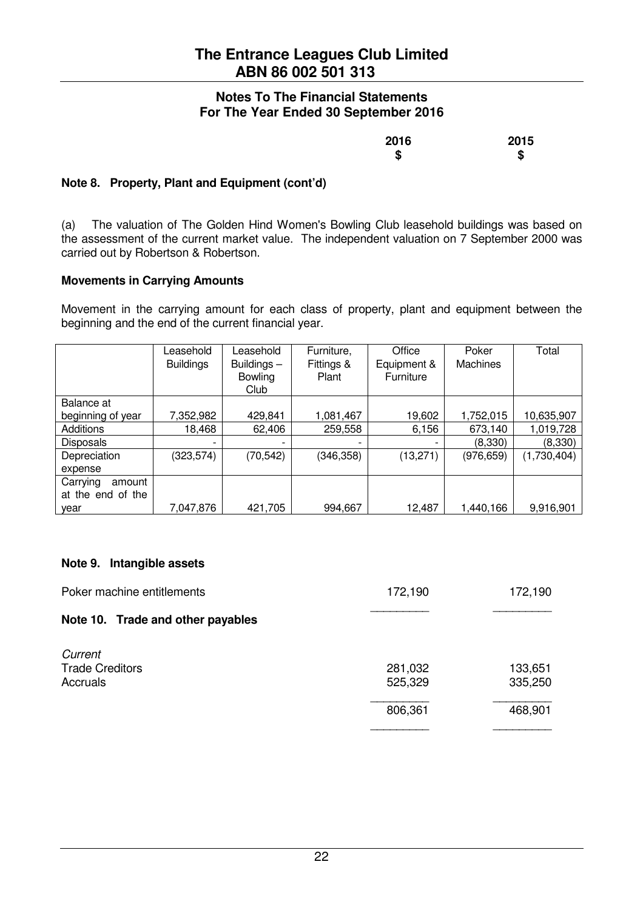| 2016   | 2015   |
|--------|--------|
| œ<br>D | æ<br>æ |

#### **Note 8. Property, Plant and Equipment (cont'd)**

(a) The valuation of The Golden Hind Women's Bowling Club leasehold buildings was based on the assessment of the current market value. The independent valuation on 7 September 2000 was carried out by Robertson & Robertson.

#### **Movements in Carrying Amounts**

Movement in the carrying amount for each class of property, plant and equipment between the beginning and the end of the current financial year.

|                    | Leasehold        | Leasehold      | Furniture, | Office      | Poker           | Total       |
|--------------------|------------------|----------------|------------|-------------|-----------------|-------------|
|                    | <b>Buildings</b> | Buildings -    | Fittings & | Equipment & | <b>Machines</b> |             |
|                    |                  | <b>Bowling</b> | Plant      | Furniture   |                 |             |
|                    |                  | Club           |            |             |                 |             |
| Balance at         |                  |                |            |             |                 |             |
| beginning of year  | 7,352,982        | 429,841        | 1,081,467  | 19,602      | 1,752,015       | 10,635,907  |
| Additions          | 18,468           | 62,406         | 259,558    | 6,156       | 673,140         | 1,019,728   |
| Disposals          | -                | -              |            |             | (8,330)         | (8,330)     |
| Depreciation       | (323, 574)       | (70, 542)      | (346, 358) | (13, 271)   | (976, 659)      | (1,730,404) |
| expense            |                  |                |            |             |                 |             |
| Carrying<br>amount |                  |                |            |             |                 |             |
| at the end of the  |                  |                |            |             |                 |             |
| year               | 7,047,876        | 421,705        | 994,667    | 12,487      | 1,440,166       | 9,916,901   |

#### **Note 9. Intangible assets**

| Poker machine entitlements                    | 172,190            | 172,190            |
|-----------------------------------------------|--------------------|--------------------|
| Note 10. Trade and other payables             |                    |                    |
| Current<br><b>Trade Creditors</b><br>Accruals | 281,032<br>525,329 | 133,651<br>335,250 |
|                                               | 806,361            | 468,901            |
|                                               |                    |                    |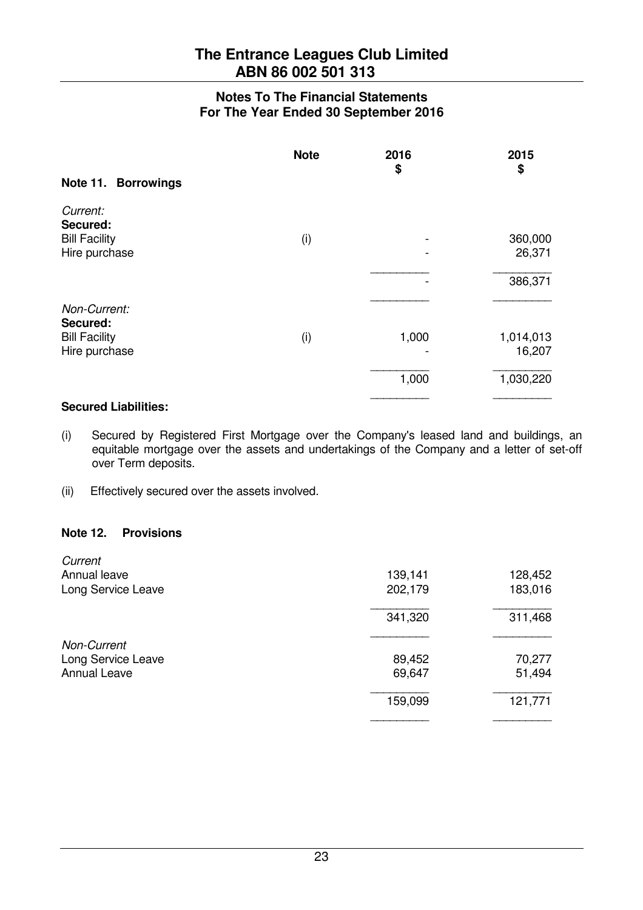|                          | <b>Note</b> | 2016<br>\$ | 2015<br>\$ |
|--------------------------|-------------|------------|------------|
| Note 11. Borrowings      |             |            |            |
| Current:<br>Secured:     |             |            |            |
| <b>Bill Facility</b>     | (i)         |            | 360,000    |
| Hire purchase            |             |            | 26,371     |
|                          |             |            | 386,371    |
| Non-Current:<br>Secured: |             |            |            |
| <b>Bill Facility</b>     | (i)         | 1,000      | 1,014,013  |
| Hire purchase            |             |            | 16,207     |
|                          |             | 1,000      | 1,030,220  |
|                          |             |            |            |

#### **Secured Liabilities:**

- (i) Secured by Registered First Mortgage over the Company's leased land and buildings, an equitable mortgage over the assets and undertakings of the Company and a letter of set-off over Term deposits.
- (ii) Effectively secured over the assets involved.

#### **Note 12. Provisions**

| Current             |         |         |
|---------------------|---------|---------|
| Annual leave        | 139,141 | 128,452 |
| Long Service Leave  | 202,179 | 183,016 |
|                     | 341,320 | 311,468 |
| <b>Non-Current</b>  |         |         |
| Long Service Leave  | 89,452  | 70,277  |
| <b>Annual Leave</b> | 69,647  | 51,494  |
|                     | 159,099 | 121,771 |
|                     |         |         |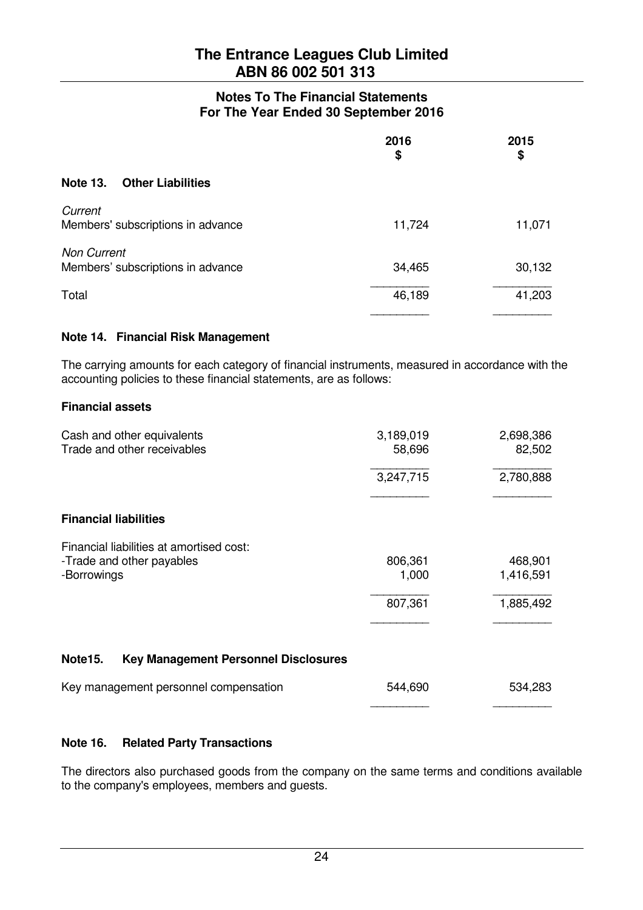|                                                         | 2016<br>\$ | 2015<br>\$ |
|---------------------------------------------------------|------------|------------|
| <b>Other Liabilities</b><br><b>Note 13.</b>             |            |            |
| Current<br>Members' subscriptions in advance            | 11,724     | 11,071     |
| <b>Non Current</b><br>Members' subscriptions in advance | 34,465     | 30,132     |
| Total                                                   | 46,189     | 41,203     |
|                                                         |            |            |

#### **Note 14. Financial Risk Management**

The carrying amounts for each category of financial instruments, measured in accordance with the accounting policies to these financial statements, are as follows:

#### **Financial assets**

| Cash and other equivalents<br>Trade and other receivables | 3,189,019<br>58,696 | 2,698,386<br>82,502 |
|-----------------------------------------------------------|---------------------|---------------------|
|                                                           | 3,247,715           | 2,780,888           |
| <b>Financial liabilities</b>                              |                     |                     |
| Financial liabilities at amortised cost:                  |                     |                     |
| -Trade and other payables                                 | 806,361             | 468,901             |
| -Borrowings                                               | 1,000               | 1,416,591           |
|                                                           | 807,361             | 1,885,492           |
|                                                           |                     |                     |
| Note15.<br><b>Key Management Personnel Disclosures</b>    |                     |                     |
| Key management personnel compensation                     | 544,690             | 534,283             |

#### **Note 16. Related Party Transactions**

 The directors also purchased goods from the company on the same terms and conditions available to the company's employees, members and guests.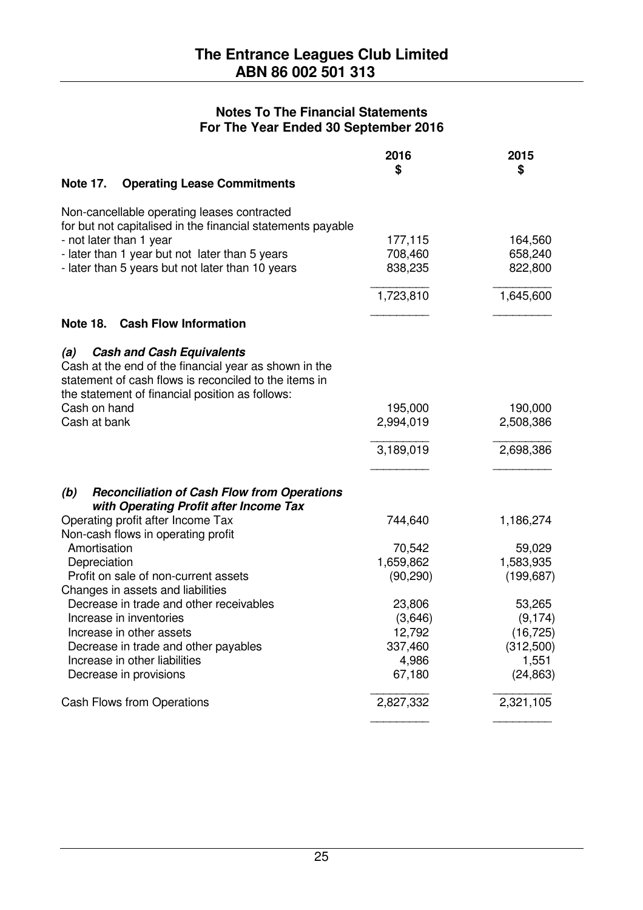|                         |                                                                                                                                                                                                       | 2016<br>\$ | 2015<br>\$ |
|-------------------------|-------------------------------------------------------------------------------------------------------------------------------------------------------------------------------------------------------|------------|------------|
| <b>Note 17.</b>         | <b>Operating Lease Commitments</b>                                                                                                                                                                    |            |            |
|                         | Non-cancellable operating leases contracted<br>for but not capitalised in the financial statements payable                                                                                            |            |            |
| - not later than 1 year |                                                                                                                                                                                                       | 177,115    | 164,560    |
|                         | - later than 1 year but not later than 5 years                                                                                                                                                        | 708,460    | 658,240    |
|                         | - later than 5 years but not later than 10 years                                                                                                                                                      | 838,235    | 822,800    |
|                         |                                                                                                                                                                                                       | 1,723,810  | 1,645,600  |
|                         | Note 18. Cash Flow Information                                                                                                                                                                        |            |            |
| (a)                     | <b>Cash and Cash Equivalents</b><br>Cash at the end of the financial year as shown in the<br>statement of cash flows is reconciled to the items in<br>the statement of financial position as follows: |            |            |
| Cash on hand            |                                                                                                                                                                                                       | 195,000    | 190,000    |
| Cash at bank            |                                                                                                                                                                                                       | 2,994,019  | 2,508,386  |
|                         |                                                                                                                                                                                                       | 3,189,019  | 2,698,386  |
| (b)                     | <b>Reconciliation of Cash Flow from Operations</b><br>with Operating Profit after Income Tax                                                                                                          |            |            |
|                         | Operating profit after Income Tax<br>Non-cash flows in operating profit                                                                                                                               | 744,640    | 1,186,274  |
| Amortisation            |                                                                                                                                                                                                       | 70,542     | 59,029     |
| Depreciation            |                                                                                                                                                                                                       | 1,659,862  | 1,583,935  |
|                         | Profit on sale of non-current assets                                                                                                                                                                  | (90, 290)  | (199, 687) |
|                         | Changes in assets and liabilities                                                                                                                                                                     |            |            |
|                         | Decrease in trade and other receivables                                                                                                                                                               | 23,806     | 53,265     |
|                         | Increase in inventories                                                                                                                                                                               | (3,646)    | (9, 174)   |
|                         | Increase in other assets                                                                                                                                                                              | 12,792     | (16, 725)  |
|                         | Decrease in trade and other payables                                                                                                                                                                  | 337,460    | (312,500)  |
|                         | Increase in other liabilities                                                                                                                                                                         | 4,986      | 1,551      |
|                         | Decrease in provisions                                                                                                                                                                                | 67,180     | (24, 863)  |
|                         | <b>Cash Flows from Operations</b>                                                                                                                                                                     | 2,827,332  | 2,321,105  |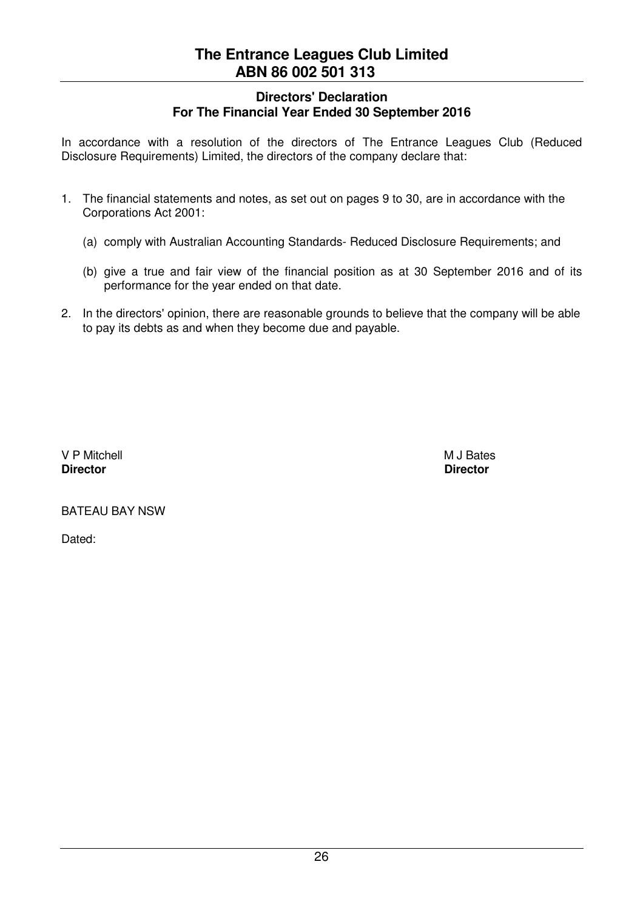#### **Directors' Declaration For The Financial Year Ended 30 September 2016**

In accordance with a resolution of the directors of The Entrance Leagues Club (Reduced Disclosure Requirements) Limited, the directors of the company declare that:

- 1. The financial statements and notes, as set out on pages 9 to 30, are in accordance with the Corporations Act 2001:
	- (a) comply with Australian Accounting Standards- Reduced Disclosure Requirements; and
	- (b) give a true and fair view of the financial position as at 30 September 2016 and of its performance for the year ended on that date.
- 2. In the directors' opinion, there are reasonable grounds to believe that the company will be able to pay its debts as and when they become due and payable.

V P Mitchell M J Bates<br>
Director **Director Director Director** 

BATEAU BAY NSW

Dated: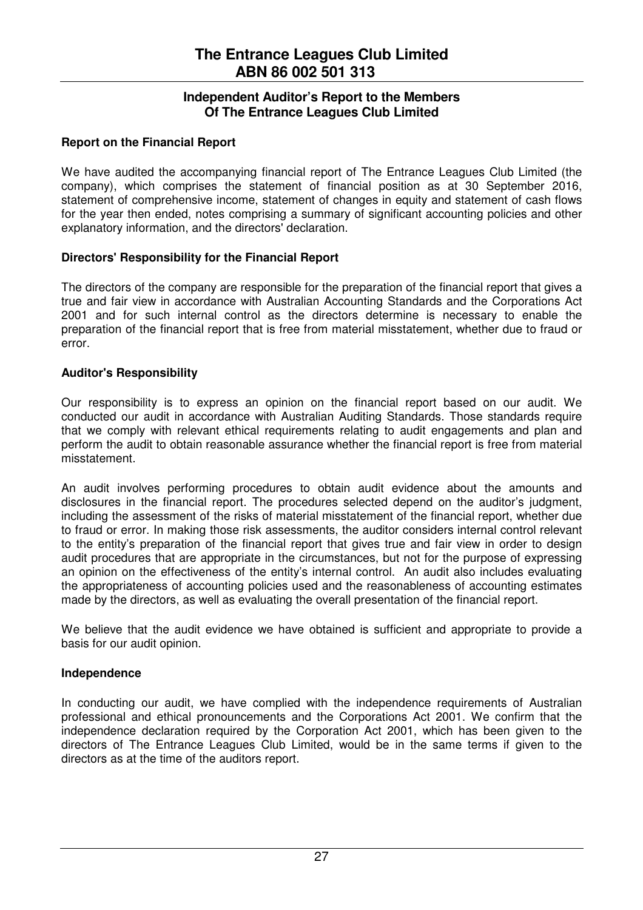#### **Independent Auditor's Report to the Members Of The Entrance Leagues Club Limited**

#### **Report on the Financial Report**

We have audited the accompanying financial report of The Entrance Leagues Club Limited (the company), which comprises the statement of financial position as at 30 September 2016, statement of comprehensive income, statement of changes in equity and statement of cash flows for the year then ended, notes comprising a summary of significant accounting policies and other explanatory information, and the directors' declaration.

#### **Directors' Responsibility for the Financial Report**

The directors of the company are responsible for the preparation of the financial report that gives a true and fair view in accordance with Australian Accounting Standards and the Corporations Act 2001 and for such internal control as the directors determine is necessary to enable the preparation of the financial report that is free from material misstatement, whether due to fraud or error.

#### **Auditor's Responsibility**

Our responsibility is to express an opinion on the financial report based on our audit. We conducted our audit in accordance with Australian Auditing Standards. Those standards require that we comply with relevant ethical requirements relating to audit engagements and plan and perform the audit to obtain reasonable assurance whether the financial report is free from material misstatement.

An audit involves performing procedures to obtain audit evidence about the amounts and disclosures in the financial report. The procedures selected depend on the auditor's judgment, including the assessment of the risks of material misstatement of the financial report, whether due to fraud or error. In making those risk assessments, the auditor considers internal control relevant to the entity's preparation of the financial report that gives true and fair view in order to design audit procedures that are appropriate in the circumstances, but not for the purpose of expressing an opinion on the effectiveness of the entity's internal control. An audit also includes evaluating the appropriateness of accounting policies used and the reasonableness of accounting estimates made by the directors, as well as evaluating the overall presentation of the financial report.

We believe that the audit evidence we have obtained is sufficient and appropriate to provide a basis for our audit opinion.

#### **Independence**

In conducting our audit, we have complied with the independence requirements of Australian professional and ethical pronouncements and the Corporations Act 2001. We confirm that the independence declaration required by the Corporation Act 2001, which has been given to the directors of The Entrance Leagues Club Limited, would be in the same terms if given to the directors as at the time of the auditors report.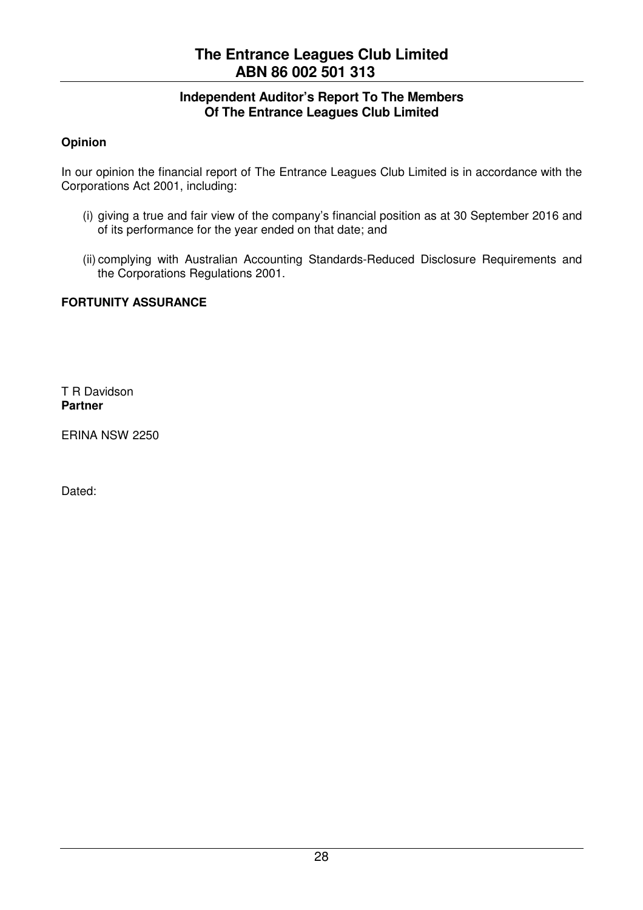#### **Independent Auditor's Report To The Members Of The Entrance Leagues Club Limited**

#### **Opinion**

In our opinion the financial report of The Entrance Leagues Club Limited is in accordance with the Corporations Act 2001, including:

- (i) giving a true and fair view of the company's financial position as at 30 September 2016 and of its performance for the year ended on that date; and
- (ii) complying with Australian Accounting Standards-Reduced Disclosure Requirements and the Corporations Regulations 2001.

#### **FORTUNITY ASSURANCE**

T R Davidson **Partner** 

ERINA NSW 2250

Dated: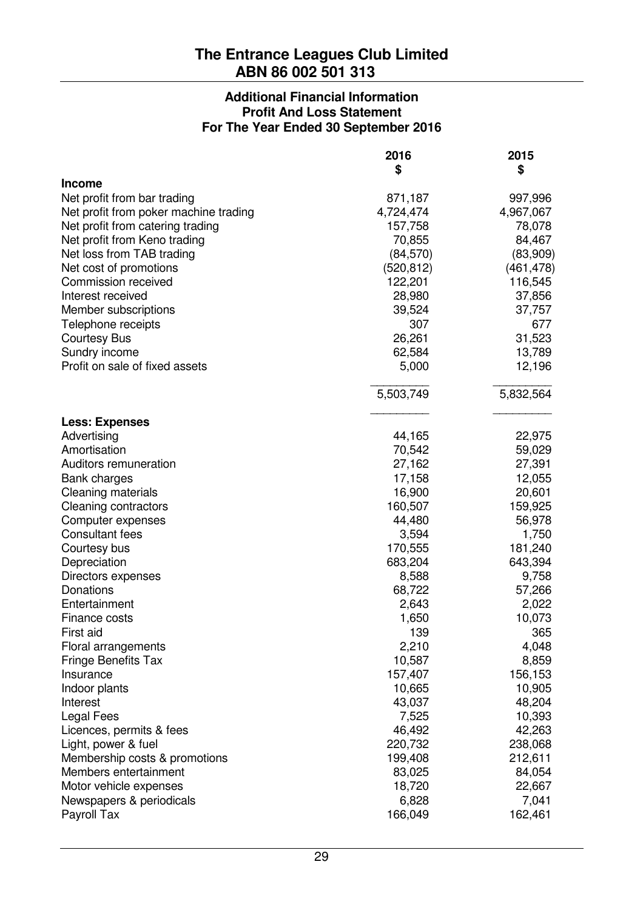#### **Additional Financial Information Profit And Loss Statement For The Year Ended 30 September 2016**

|                                       | 2016       | 2015       |
|---------------------------------------|------------|------------|
|                                       | \$         | \$         |
| <b>Income</b>                         |            |            |
| Net profit from bar trading           | 871,187    | 997,996    |
| Net profit from poker machine trading | 4,724,474  | 4,967,067  |
| Net profit from catering trading      | 157,758    | 78,078     |
| Net profit from Keno trading          | 70,855     | 84,467     |
| Net loss from TAB trading             | (84, 570)  | (83,909)   |
| Net cost of promotions                | (520, 812) | (461, 478) |
| Commission received                   | 122,201    | 116,545    |
| Interest received                     | 28,980     | 37,856     |
| Member subscriptions                  | 39,524     | 37,757     |
| Telephone receipts                    | 307        | 677        |
| <b>Courtesy Bus</b>                   | 26,261     | 31,523     |
| Sundry income                         | 62,584     | 13,789     |
| Profit on sale of fixed assets        | 5,000      | 12,196     |
|                                       | 5,503,749  | 5,832,564  |
|                                       |            |            |
| <b>Less: Expenses</b>                 |            |            |
| Advertising                           | 44,165     | 22,975     |
| Amortisation                          | 70,542     | 59,029     |
| Auditors remuneration                 | 27,162     | 27,391     |
| Bank charges                          | 17,158     | 12,055     |
| Cleaning materials                    | 16,900     | 20,601     |
| <b>Cleaning contractors</b>           | 160,507    | 159,925    |
| Computer expenses                     | 44,480     | 56,978     |
| <b>Consultant fees</b>                | 3,594      | 1,750      |
| Courtesy bus                          | 170,555    | 181,240    |
| Depreciation                          | 683,204    | 643,394    |
| Directors expenses                    | 8,588      | 9,758      |
| Donations                             | 68,722     | 57,266     |
| Entertainment                         | 2,643      | 2,022      |
| Finance costs                         | 1,650      | 10,073     |
| First aid                             | 139        | 365        |
| Floral arrangements                   | 2,210      | 4,048      |
| <b>Fringe Benefits Tax</b>            | 10,587     | 8,859      |
| Insurance                             | 157,407    | 156,153    |
| Indoor plants                         | 10,665     | 10,905     |
| Interest                              | 43,037     | 48,204     |
| Legal Fees                            | 7,525      | 10,393     |
| Licences, permits & fees              | 46,492     | 42,263     |
| Light, power & fuel                   | 220,732    | 238,068    |
| Membership costs & promotions         | 199,408    | 212,611    |
| Members entertainment                 | 83,025     | 84,054     |
| Motor vehicle expenses                | 18,720     | 22,667     |
| Newspapers & periodicals              | 6,828      | 7,041      |
| Payroll Tax                           | 166,049    | 162,461    |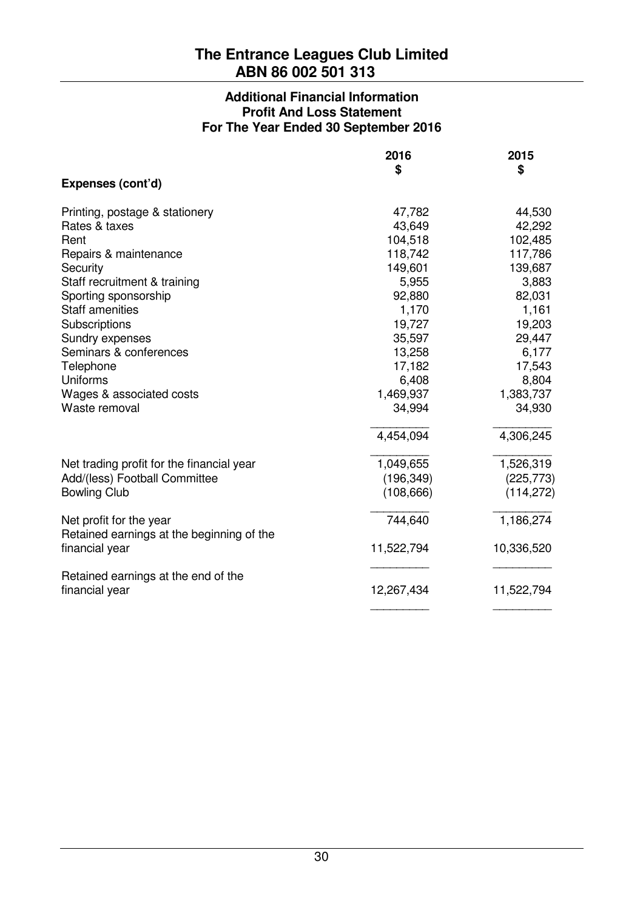#### **Additional Financial Information Profit And Loss Statement For The Year Ended 30 September 2016**

|                                                                      | 2016       | 2015       |
|----------------------------------------------------------------------|------------|------------|
|                                                                      | \$         | \$         |
| Expenses (cont'd)                                                    |            |            |
| Printing, postage & stationery                                       | 47,782     | 44,530     |
| Rates & taxes                                                        | 43,649     | 42,292     |
| Rent                                                                 | 104,518    | 102,485    |
| Repairs & maintenance                                                | 118,742    | 117,786    |
| Security                                                             | 149,601    | 139,687    |
| Staff recruitment & training                                         | 5,955      | 3,883      |
| Sporting sponsorship                                                 | 92,880     | 82,031     |
| <b>Staff amenities</b>                                               | 1,170      | 1,161      |
| Subscriptions                                                        | 19,727     | 19,203     |
| Sundry expenses                                                      | 35,597     | 29,447     |
| Seminars & conferences                                               | 13,258     | 6,177      |
| Telephone                                                            | 17,182     | 17,543     |
| Uniforms                                                             | 6,408      | 8,804      |
| Wages & associated costs                                             | 1,469,937  | 1,383,737  |
| Waste removal                                                        | 34,994     | 34,930     |
|                                                                      | 4,454,094  | 4,306,245  |
| Net trading profit for the financial year                            | 1,049,655  | 1,526,319  |
| Add/(less) Football Committee                                        | (196, 349) | (225, 773) |
| <b>Bowling Club</b>                                                  | (108, 666) | (114, 272) |
| Net profit for the year<br>Retained earnings at the beginning of the | 744,640    | 1,186,274  |
| financial year                                                       | 11,522,794 | 10,336,520 |
| Retained earnings at the end of the<br>financial year                | 12,267,434 | 11,522,794 |
|                                                                      |            |            |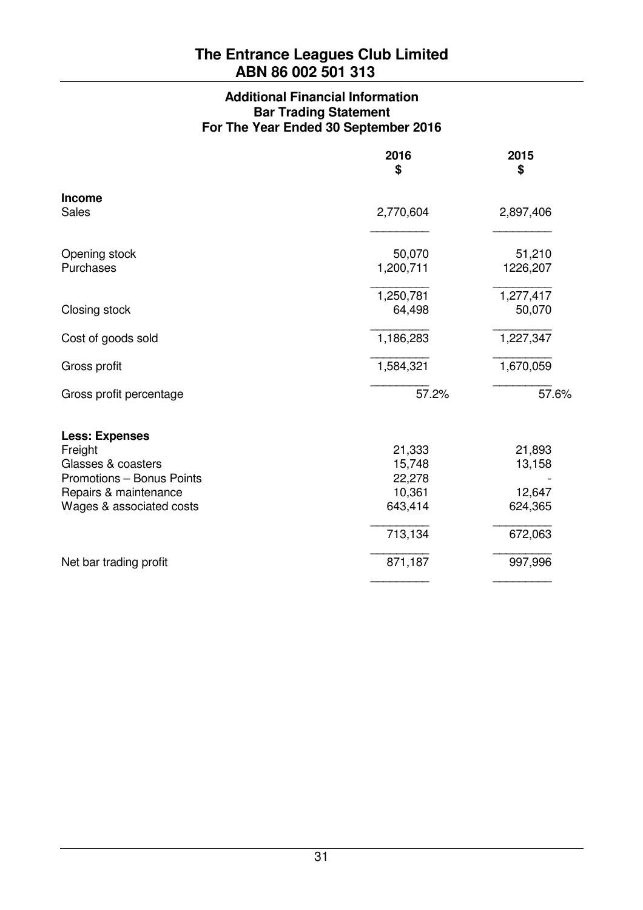#### **Additional Financial Information Bar Trading Statement For The Year Ended 30 September 2016**

|                           | 2016<br>\$ | 2015<br>\$ |
|---------------------------|------------|------------|
| Income                    |            |            |
| <b>Sales</b>              | 2,770,604  | 2,897,406  |
| Opening stock             | 50,070     | 51,210     |
| Purchases                 | 1,200,711  | 1226,207   |
|                           | 1,250,781  | 1,277,417  |
| Closing stock             | 64,498     | 50,070     |
| Cost of goods sold        | 1,186,283  | 1,227,347  |
| Gross profit              | 1,584,321  | 1,670,059  |
| Gross profit percentage   | 57.2%      | 57.6%      |
| <b>Less: Expenses</b>     |            |            |
| Freight                   | 21,333     | 21,893     |
| Glasses & coasters        | 15,748     | 13,158     |
| Promotions - Bonus Points | 22,278     |            |
| Repairs & maintenance     | 10,361     | 12,647     |
| Wages & associated costs  | 643,414    | 624,365    |
|                           | 713,134    | 672,063    |
| Net bar trading profit    | 871,187    | 997,996    |
|                           |            |            |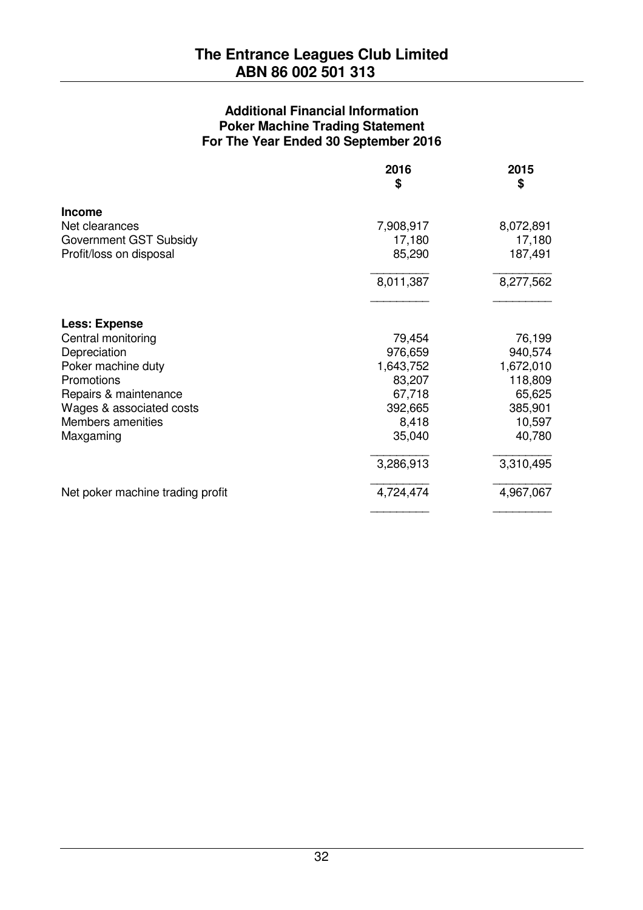#### **Additional Financial Information Poker Machine Trading Statement For The Year Ended 30 September 2016**

|                                  | 2016<br>\$ | 2015<br>\$ |
|----------------------------------|------------|------------|
| <b>Income</b>                    |            |            |
| Net clearances                   | 7,908,917  | 8,072,891  |
| Government GST Subsidy           | 17,180     | 17,180     |
| Profit/loss on disposal          | 85,290     | 187,491    |
|                                  | 8,011,387  | 8,277,562  |
| <b>Less: Expense</b>             |            |            |
| Central monitoring               | 79,454     | 76,199     |
| Depreciation                     | 976,659    | 940,574    |
| Poker machine duty               | 1,643,752  | 1,672,010  |
| Promotions                       | 83,207     | 118,809    |
| Repairs & maintenance            | 67,718     | 65,625     |
| Wages & associated costs         | 392,665    | 385,901    |
| Members amenities                | 8,418      | 10,597     |
| Maxgaming                        | 35,040     | 40,780     |
|                                  | 3,286,913  | 3,310,495  |
| Net poker machine trading profit | 4,724,474  | 4,967,067  |
|                                  |            |            |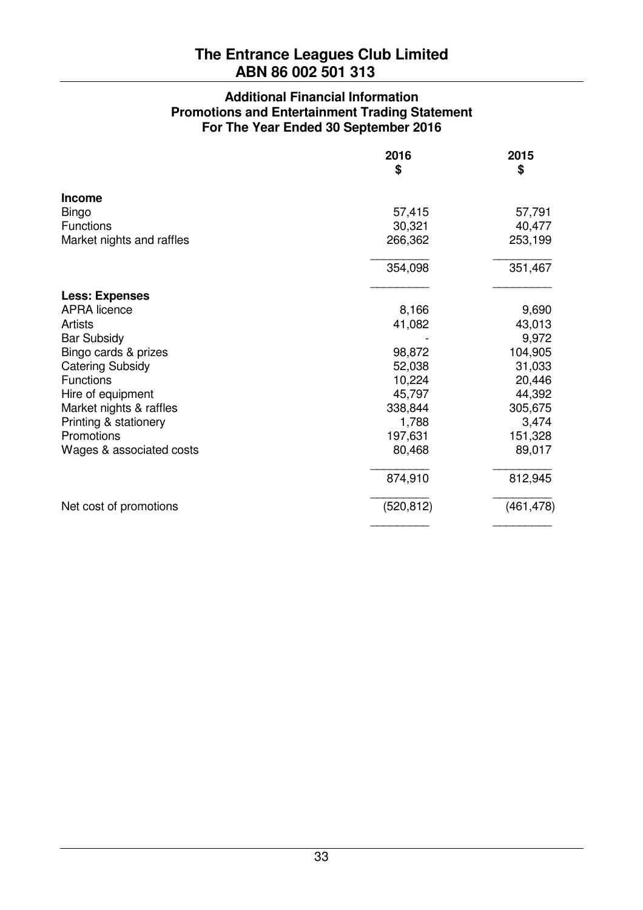#### **Additional Financial Information Promotions and Entertainment Trading Statement For The Year Ended 30 September 2016**

|                           | 2016<br>\$ | 2015<br>\$ |
|---------------------------|------------|------------|
| <b>Income</b>             |            |            |
| <b>Bingo</b>              | 57,415     | 57,791     |
| <b>Functions</b>          | 30,321     | 40,477     |
| Market nights and raffles | 266,362    | 253,199    |
|                           | 354,098    | 351,467    |
| <b>Less: Expenses</b>     |            |            |
| <b>APRA</b> licence       | 8,166      | 9,690      |
| Artists                   | 41,082     | 43,013     |
| <b>Bar Subsidy</b>        |            | 9,972      |
| Bingo cards & prizes      | 98,872     | 104,905    |
| <b>Catering Subsidy</b>   | 52,038     | 31,033     |
| <b>Functions</b>          | 10,224     | 20,446     |
| Hire of equipment         | 45,797     | 44,392     |
| Market nights & raffles   | 338,844    | 305,675    |
| Printing & stationery     | 1,788      | 3,474      |
| Promotions                | 197,631    | 151,328    |
| Wages & associated costs  | 80,468     | 89,017     |
|                           | 874,910    | 812,945    |
| Net cost of promotions    | (520, 812) | (461, 478) |
|                           |            |            |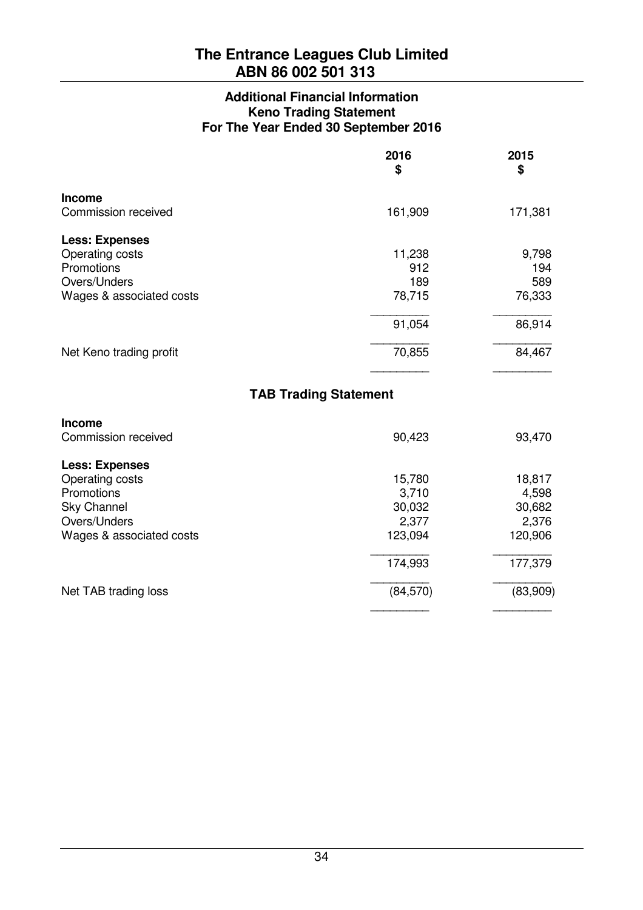#### **Additional Financial Information Keno Trading Statement For The Year Ended 30 September 2016**

|                          | 2016<br>\$                   | 2015<br>\$ |
|--------------------------|------------------------------|------------|
| <b>Income</b>            |                              |            |
| Commission received      | 161,909                      | 171,381    |
| <b>Less: Expenses</b>    |                              |            |
| Operating costs          | 11,238                       | 9,798      |
| Promotions               | 912                          | 194        |
| Overs/Unders             | 189                          | 589        |
| Wages & associated costs | 78,715                       | 76,333     |
|                          | 91,054                       | 86,914     |
| Net Keno trading profit  | 70,855                       | 84,467     |
|                          | <b>TAB Trading Statement</b> |            |
| <b>Income</b>            |                              |            |
| Commission received      | 90,423                       | 93,470     |
| <b>Less: Expenses</b>    |                              |            |
| Operating costs          | 15,780                       | 18,817     |
| Promotions               | 3,710                        | 4,598      |
| <b>Sky Channel</b>       | 30,032                       | 30,682     |
| Overs/Unders             | 2,377                        | 2,376      |
| Wages & associated costs | 123,094                      | 120,906    |
|                          | 174,993                      | 177,379    |
| Net TAB trading loss     | (84, 570)                    | (83,909)   |

 $\overline{\phantom{a}}$  , where  $\overline{\phantom{a}}$  , where  $\overline{\phantom{a}}$  , where  $\overline{\phantom{a}}$  , where  $\overline{\phantom{a}}$  , where  $\overline{\phantom{a}}$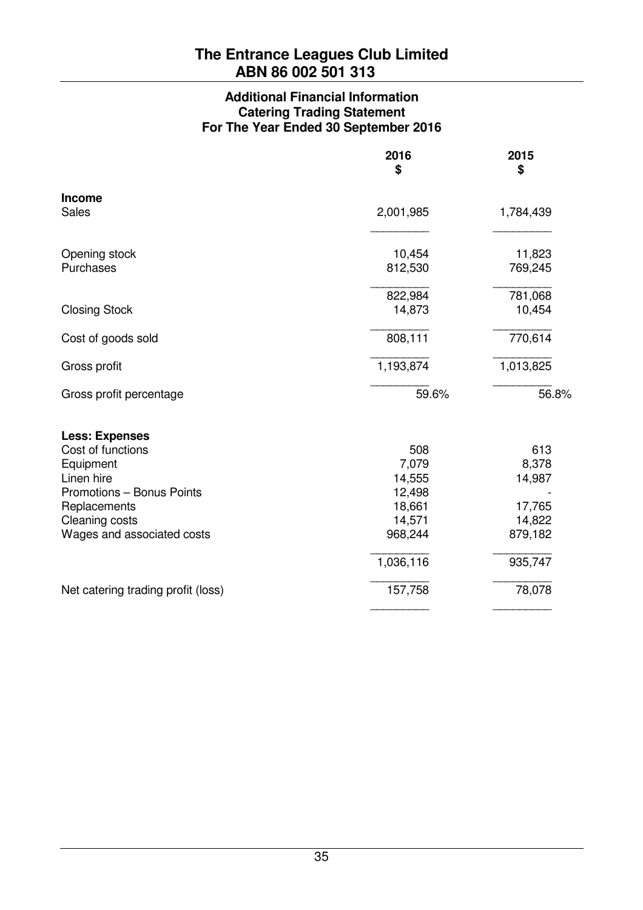#### **Additional Financial Information Catering Trading Statement For The Year Ended 30 September 2016**

|                                           | 2016<br>\$       | 2015<br>\$ |
|-------------------------------------------|------------------|------------|
| <b>Income</b>                             |                  |            |
| <b>Sales</b>                              | 2,001,985        | 1,784,439  |
| Opening stock                             | 10,454           | 11,823     |
| Purchases                                 | 812,530          | 769,245    |
|                                           | 822,984          | 781,068    |
| <b>Closing Stock</b>                      | 14,873           | 10,454     |
| Cost of goods sold                        | 808,111          | 770,614    |
| Gross profit                              | 1,193,874        | 1,013,825  |
| Gross profit percentage                   | 59.6%            | 56.8%      |
| <b>Less: Expenses</b>                     |                  |            |
| Cost of functions                         | 508              | 613        |
| Equipment                                 | 7,079            | 8,378      |
| Linen hire                                | 14,555           | 14,987     |
| Promotions - Bonus Points<br>Replacements | 12,498<br>18,661 | 17,765     |
| Cleaning costs                            | 14,571           | 14,822     |
| Wages and associated costs                | 968,244          | 879,182    |
|                                           | 1,036,116        | 935,747    |
| Net catering trading profit (loss)        | 157,758          | 78,078     |
|                                           |                  |            |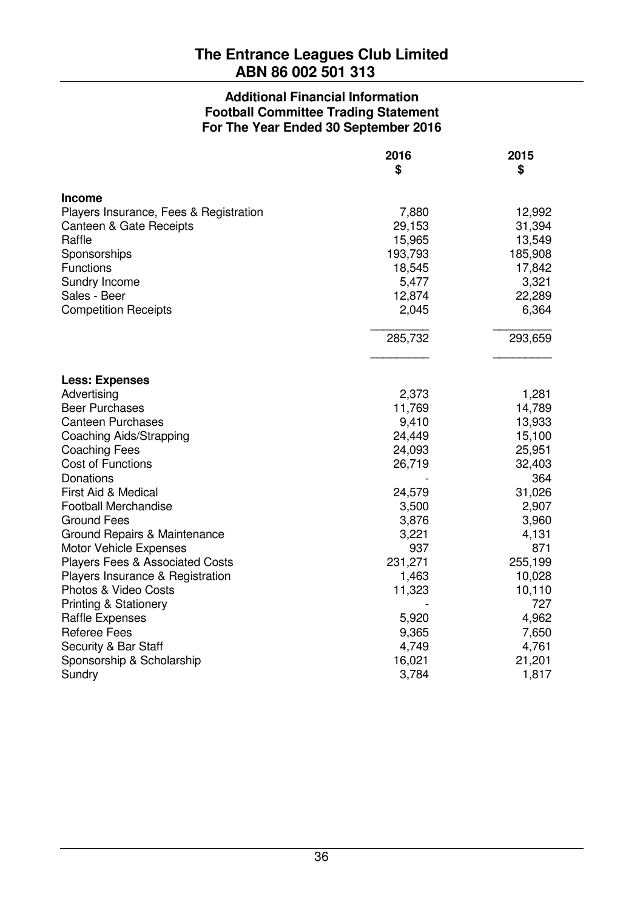#### **Additional Financial Information Football Committee Trading Statement For The Year Ended 30 September 2016**

|                                            | 2016<br>\$ | 2015<br>\$ |
|--------------------------------------------|------------|------------|
| <b>Income</b>                              |            |            |
| Players Insurance, Fees & Registration     | 7,880      | 12,992     |
| Canteen & Gate Receipts                    | 29,153     | 31,394     |
| Raffle                                     | 15,965     | 13,549     |
| Sponsorships                               | 193,793    | 185,908    |
| <b>Functions</b>                           | 18,545     | 17,842     |
| Sundry Income                              | 5,477      | 3,321      |
| Sales - Beer                               | 12,874     | 22,289     |
| <b>Competition Receipts</b>                | 2,045      | 6,364      |
|                                            | 285,732    | 293,659    |
|                                            |            |            |
| <b>Less: Expenses</b>                      |            |            |
| Advertising                                | 2,373      | 1,281      |
| <b>Beer Purchases</b>                      | 11,769     | 14,789     |
| <b>Canteen Purchases</b>                   | 9,410      | 13,933     |
| Coaching Aids/Strapping                    | 24,449     | 15,100     |
| <b>Coaching Fees</b>                       | 24,093     | 25,951     |
| <b>Cost of Functions</b>                   | 26,719     | 32,403     |
| Donations                                  |            | 364        |
| First Aid & Medical                        | 24,579     | 31,026     |
| <b>Football Merchandise</b>                | 3,500      | 2,907      |
| <b>Ground Fees</b>                         | 3,876      | 3,960      |
| Ground Repairs & Maintenance               | 3,221      | 4,131      |
| Motor Vehicle Expenses                     | 937        | 871        |
| <b>Players Fees &amp; Associated Costs</b> | 231,271    | 255,199    |
| Players Insurance & Registration           | 1,463      | 10,028     |
| Photos & Video Costs                       | 11,323     | 10,110     |
| Printing & Stationery                      |            | 727        |
| <b>Raffle Expenses</b>                     | 5,920      | 4,962      |
| <b>Referee Fees</b>                        | 9,365      | 7,650      |
| Security & Bar Staff                       | 4,749      | 4,761      |
| Sponsorship & Scholarship                  | 16,021     | 21,201     |
| Sundry                                     | 3,784      | 1,817      |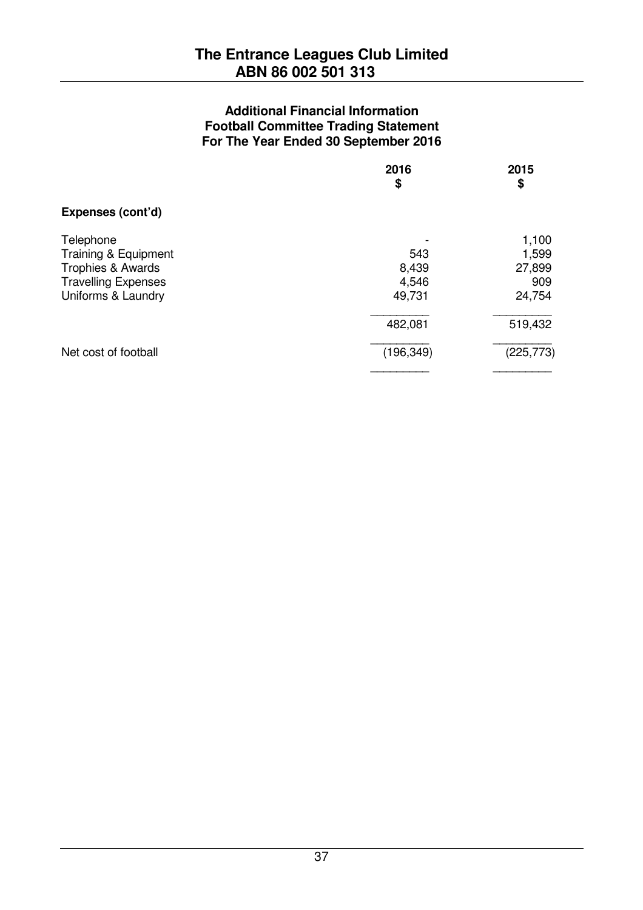#### **Additional Financial Information Football Committee Trading Statement For The Year Ended 30 September 2016**

|                            | 2016<br>\$ | 2015<br>\$ |
|----------------------------|------------|------------|
| Expenses (cont'd)          |            |            |
| Telephone                  |            | 1,100      |
| Training & Equipment       | 543        | 1,599      |
| Trophies & Awards          | 8,439      | 27,899     |
| <b>Travelling Expenses</b> | 4,546      | 909        |
| Uniforms & Laundry         | 49,731     | 24,754     |
|                            | 482,081    | 519,432    |
| Net cost of football       | (196, 349) | (225, 773) |
|                            |            |            |